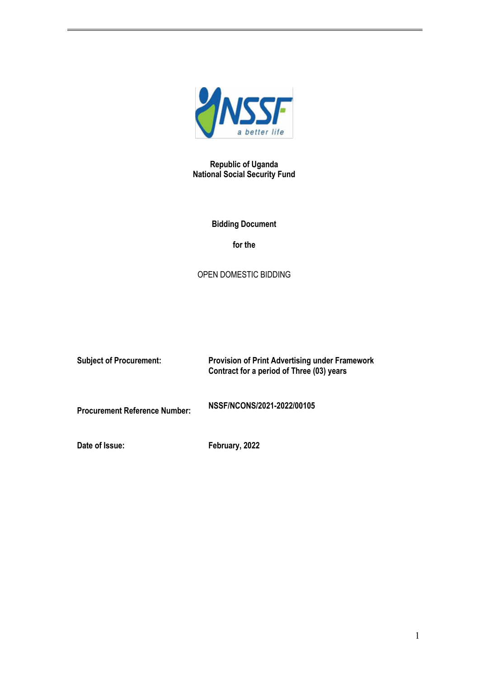

**Republic of Uganda National Social Security Fund**

# **Bidding Document**

**for the**

# OPEN DOMESTIC BIDDING

| <b>Subject of Procurement:</b>       | <b>Provision of Print Advertising under Framework</b><br>Contract for a period of Three (03) years |
|--------------------------------------|----------------------------------------------------------------------------------------------------|
| <b>Procurement Reference Number:</b> | NSSF/NCONS/2021-2022/00105                                                                         |
| Date of Issue:                       | February, 2022                                                                                     |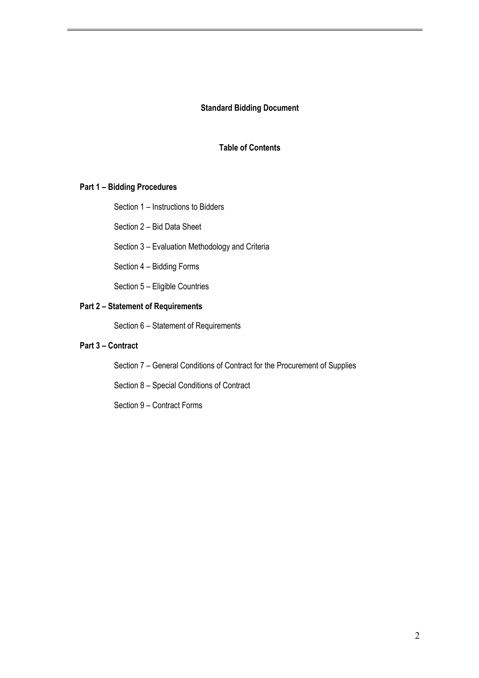#### **Standard Bidding Document**

#### **Table of Contents**

#### **Part 1 – Bidding Procedures**

Section 1 – Instructions to Bidders

Section 2 – Bid Data Sheet

Section 3 – Evaluation Methodology and Criteria

Section 4 – Bidding Forms

Section 5 – Eligible Countries

#### **Part 2 – Statement of Requirements**

Section 6 – Statement of Requirements

# **Part 3 – Contract**

Section 7 – General Conditions of Contract for the Procurement of Supplies

Section 8 – Special Conditions of Contract

Section 9 – Contract Forms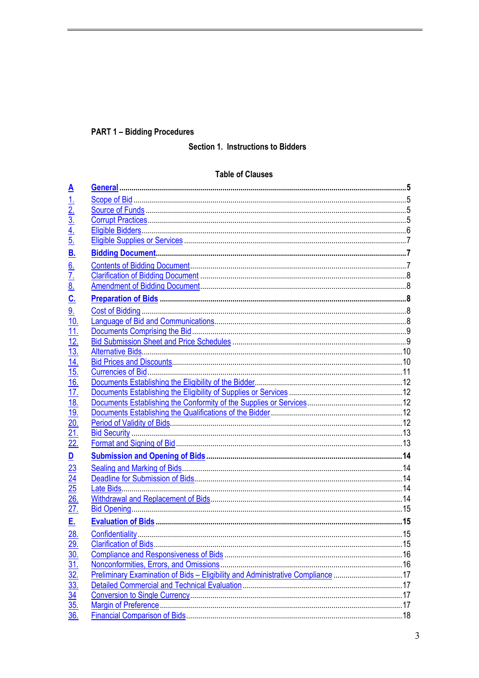# **PART 1 - Bidding Procedures**

# Section 1. Instructions to Bidders

# **Table of Clauses**

| <u>A</u>                                                                |                                                                                |  |
|-------------------------------------------------------------------------|--------------------------------------------------------------------------------|--|
|                                                                         |                                                                                |  |
| $\frac{1}{2}$ $\frac{2}{3}$ $\frac{4}{4}$ $\frac{5}{5}$                 |                                                                                |  |
|                                                                         |                                                                                |  |
|                                                                         |                                                                                |  |
|                                                                         |                                                                                |  |
| <u>B.</u>                                                               |                                                                                |  |
|                                                                         |                                                                                |  |
|                                                                         |                                                                                |  |
| $rac{6}{7}$ .<br>$rac{7}{8}$ .                                          |                                                                                |  |
| <u>c.</u>                                                               |                                                                                |  |
| 9.                                                                      |                                                                                |  |
| <u>10.</u>                                                              |                                                                                |  |
| 11.                                                                     |                                                                                |  |
| $\overline{12}$                                                         |                                                                                |  |
| $\overline{13}$ .                                                       |                                                                                |  |
| $\overline{14}$ .                                                       |                                                                                |  |
| 15.                                                                     |                                                                                |  |
| <u>16.</u>                                                              |                                                                                |  |
| 17.                                                                     |                                                                                |  |
| <u>18.</u>                                                              |                                                                                |  |
| <u>19.</u>                                                              |                                                                                |  |
| 20.                                                                     |                                                                                |  |
| <u>21.</u>                                                              |                                                                                |  |
| $\frac{22}{22}$                                                         |                                                                                |  |
| $\overline{\mathsf{D}}$                                                 |                                                                                |  |
| $\frac{23}{24}$<br>$\frac{24}{25}$                                      |                                                                                |  |
|                                                                         |                                                                                |  |
|                                                                         |                                                                                |  |
| <u>26.</u>                                                              |                                                                                |  |
| 27.                                                                     |                                                                                |  |
| <u>Е.</u>                                                               |                                                                                |  |
| 28.                                                                     |                                                                                |  |
|                                                                         |                                                                                |  |
|                                                                         |                                                                                |  |
|                                                                         |                                                                                |  |
| $\frac{29}{30} \frac{30}{31} \frac{31}{32} \frac{33}{33} \frac{33}{36}$ | Preliminary Examination of Bids - Eligibility and Administrative Compliance 17 |  |
|                                                                         |                                                                                |  |
|                                                                         |                                                                                |  |
|                                                                         |                                                                                |  |
|                                                                         |                                                                                |  |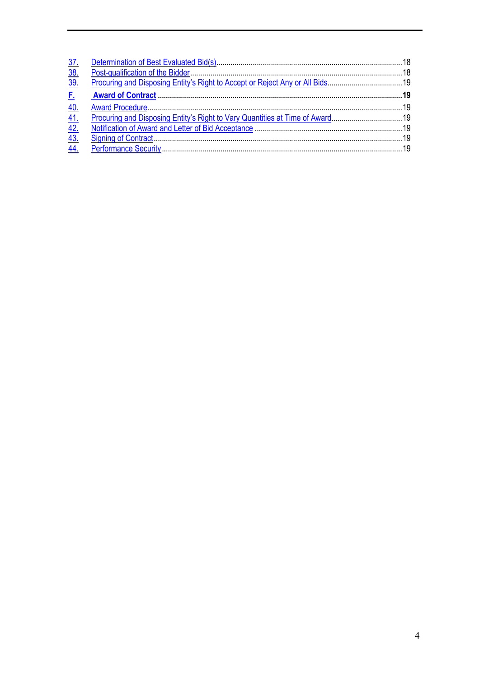| <u>37.</u>                         |  |
|------------------------------------|--|
| $\overline{38}$<br>$\overline{39}$ |  |
|                                    |  |
| 40.                                |  |
| $\overline{41}$                    |  |
| $\frac{42}{43}$                    |  |
|                                    |  |
| $\overline{44}$ .                  |  |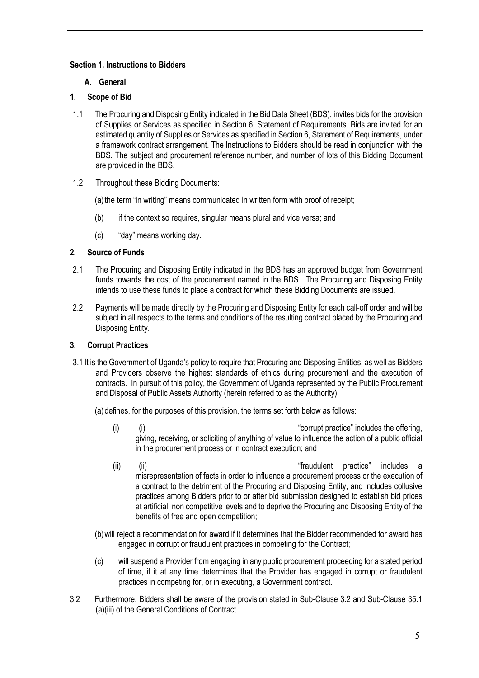# **Section 1. Instructions to Bidders**

# **A. General**

# **1. Scope of Bid**

- 1.1 The Procuring and Disposing Entity indicated in the Bid Data Sheet (BDS), invites bids for the provision of Supplies or Services as specified in Section 6, Statement of Requirements. Bids are invited for an estimated quantity of Supplies or Services as specified in Section 6, Statement of Requirements, under a framework contract arrangement. The Instructions to Bidders should be read in conjunction with the BDS. The subject and procurement reference number, and number of lots of this Bidding Document are provided in the BDS.
- 1.2 Throughout these Bidding Documents:

(a) the term "in writing" means communicated in written form with proof of receipt;

- (b) if the context so requires, singular means plural and vice versa; and
- (c) "day" means working day.

# **2. Source of Funds**

- 2.1 The Procuring and Disposing Entity indicated in the BDS has an approved budget from Government funds towards the cost of the procurement named in the BDS. The Procuring and Disposing Entity intends to use these funds to place a contract for which these Bidding Documents are issued.
- 2.2 Payments will be made directly by the Procuring and Disposing Entity for each call-off order and will be subject in all respects to the terms and conditions of the resulting contract placed by the Procuring and Disposing Entity.

#### **3. Corrupt Practices**

3.1 It is the Government of Uganda's policy to require that Procuring and Disposing Entities, as well as Bidders and Providers observe the highest standards of ethics during procurement and the execution of contracts. In pursuit of this policy, the Government of Uganda represented by the Public Procurement and Disposal of Public Assets Authority (herein referred to as the Authority);

(a) defines, for the purposes of this provision, the terms set forth below as follows:

- (i) (i) (i)  $\qquad$  (i)  $\qquad$  (i)  $\qquad$   $\qquad$   $\qquad$   $\qquad$   $\qquad$   $\qquad$   $\qquad$   $\qquad$   $\qquad$   $\qquad$   $\qquad$   $\qquad$   $\qquad$   $\qquad$   $\qquad$   $\qquad$   $\qquad$   $\qquad$   $\qquad$   $\qquad$   $\qquad$   $\qquad$   $\qquad$   $\qquad$   $\qquad$   $\qquad$   $\qquad$   $\qquad$   $\qquad$   $\qquad$   $\qquad$   $\qquad$ giving, receiving, or soliciting of anything of value to influence the action of a public official in the procurement process or in contract execution; and
- (ii) (ii) (ii)  $\qquad$  (ii)  $\qquad$   $\qquad$   $\qquad$   $\qquad$   $\qquad$   $\qquad$   $\qquad$   $\qquad$   $\qquad$   $\qquad$   $\qquad$   $\qquad$   $\qquad$   $\qquad$   $\qquad$   $\qquad$   $\qquad$   $\qquad$   $\qquad$   $\qquad$   $\qquad$   $\qquad$   $\qquad$   $\qquad$   $\qquad$   $\qquad$   $\qquad$   $\qquad$   $\qquad$   $\qquad$   $\qquad$   $\qquad$   $\qquad$ misrepresentation of facts in order to influence a procurement process or the execution of a contract to the detriment of the Procuring and Disposing Entity, and includes collusive practices among Bidders prior to or after bid submission designed to establish bid prices at artificial, non competitive levels and to deprive the Procuring and Disposing Entity of the benefits of free and open competition;
- (b)will reject a recommendation for award if it determines that the Bidder recommended for award has engaged in corrupt or fraudulent practices in competing for the Contract;
- (c) will suspend a Provider from engaging in any public procurement proceeding for a stated period of time, if it at any time determines that the Provider has engaged in corrupt or fraudulent practices in competing for, or in executing, a Government contract.
- 3.2 Furthermore, Bidders shall be aware of the provision stated in Sub-Clause 3.2 and Sub-Clause 35.1 (a)(iii) of the General Conditions of Contract.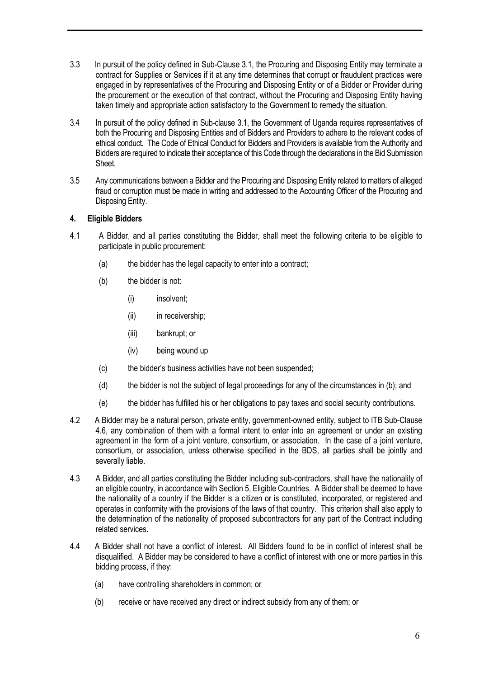- 3.3 In pursuit of the policy defined in Sub-Clause 3.1, the Procuring and Disposing Entity may terminate a contract for Supplies or Services if it at any time determines that corrupt or fraudulent practices were engaged in by representatives of the Procuring and Disposing Entity or of a Bidder or Provider during the procurement or the execution of that contract, without the Procuring and Disposing Entity having taken timely and appropriate action satisfactory to the Government to remedy the situation.
- 3.4 In pursuit of the policy defined in Sub-clause 3.1, the Government of Uganda requires representatives of both the Procuring and Disposing Entities and of Bidders and Providers to adhere to the relevant codes of ethical conduct. The Code of Ethical Conduct for Bidders and Providers is available from the Authority and Bidders are required to indicate their acceptance of this Code through the declarations in the Bid Submission Sheet.
- 3.5 Any communications between a Bidder and the Procuring and Disposing Entity related to matters of alleged fraud or corruption must be made in writing and addressed to the Accounting Officer of the Procuring and Disposing Entity.

#### **4. Eligible Bidders**

- 4.1 A Bidder, and all parties constituting the Bidder, shall meet the following criteria to be eligible to participate in public procurement:
	- (a) the bidder has the legal capacity to enter into a contract;
	- (b) the bidder is not:
		- (i) insolvent;
		- (ii) in receivership:
		- (iii) bankrupt; or
		- (iv) being wound up
	- (c) the bidder's business activities have not been suspended;
	- (d) the bidder is not the subject of legal proceedings for any of the circumstances in (b); and
	- (e) the bidder has fulfilled his or her obligations to pay taxes and social security contributions.
- 4.2 A Bidder may be a natural person, private entity, government-owned entity, subject to ITB Sub-Clause 4.6, any combination of them with a formal intent to enter into an agreement or under an existing agreement in the form of a joint venture, consortium, or association. In the case of a joint venture, consortium, or association, unless otherwise specified in the BDS, all parties shall be jointly and severally liable.
- 4.3 A Bidder, and all parties constituting the Bidder including sub-contractors, shall have the nationality of an eligible country, in accordance with Section 5, Eligible Countries. A Bidder shall be deemed to have the nationality of a country if the Bidder is a citizen or is constituted, incorporated, or registered and operates in conformity with the provisions of the laws of that country. This criterion shall also apply to the determination of the nationality of proposed subcontractors for any part of the Contract including related services.
- 4.4 A Bidder shall not have a conflict of interest. All Bidders found to be in conflict of interest shall be disqualified. A Bidder may be considered to have a conflict of interest with one or more parties in this bidding process, if they:
	- (a) have controlling shareholders in common; or
	- (b) receive or have received any direct or indirect subsidy from any of them; or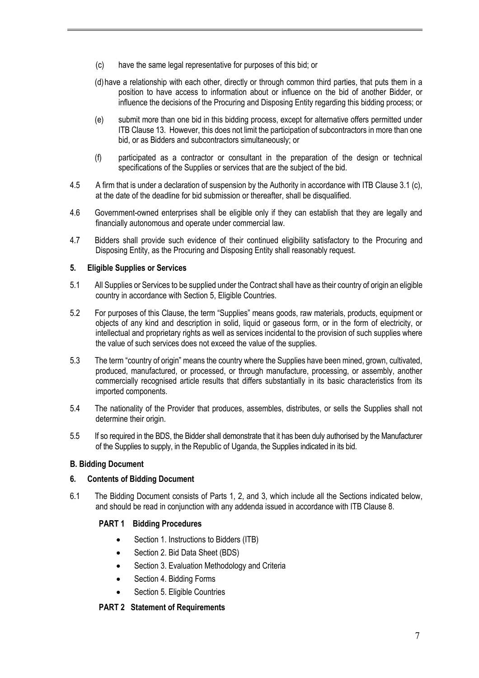- (c) have the same legal representative for purposes of this bid; or
- (d)have a relationship with each other, directly or through common third parties, that puts them in a position to have access to information about or influence on the bid of another Bidder, or influence the decisions of the Procuring and Disposing Entity regarding this bidding process; or
- (e) submit more than one bid in this bidding process, except for alternative offers permitted under ITB Clause 13. However, this does not limit the participation of subcontractors in more than one bid, or as Bidders and subcontractors simultaneously; or
- (f) participated as a contractor or consultant in the preparation of the design or technical specifications of the Supplies or services that are the subject of the bid.
- 4.5 A firm that is under a declaration of suspension by the Authority in accordance with ITB Clause 3.1 (c), at the date of the deadline for bid submission or thereafter, shall be disqualified.
- 4.6 Government-owned enterprises shall be eligible only if they can establish that they are legally and financially autonomous and operate under commercial law.
- 4.7 Bidders shall provide such evidence of their continued eligibility satisfactory to the Procuring and Disposing Entity, as the Procuring and Disposing Entity shall reasonably request.

#### **5. Eligible Supplies or Services**

- 5.1 All Supplies or Services to be supplied under the Contract shall have as their country of origin an eligible country in accordance with Section 5, Eligible Countries.
- 5.2 For purposes of this Clause, the term "Supplies" means goods, raw materials, products, equipment or objects of any kind and description in solid, liquid or gaseous form, or in the form of electricity, or intellectual and proprietary rights as well as services incidental to the provision of such supplies where the value of such services does not exceed the value of the supplies.
- 5.3 The term "country of origin" means the country where the Supplies have been mined, grown, cultivated, produced, manufactured, or processed, or through manufacture, processing, or assembly, another commercially recognised article results that differs substantially in its basic characteristics from its imported components.
- 5.4 The nationality of the Provider that produces, assembles, distributes, or sells the Supplies shall not determine their origin.
- 5.5 If so required in the BDS, the Bidder shall demonstrate that it has been duly authorised by the Manufacturer of the Supplies to supply, in the Republic of Uganda, the Supplies indicated in its bid.

#### **B. Bidding Document**

#### **6. Contents of Bidding Document**

6.1 The Bidding Document consists of Parts 1, 2, and 3, which include all the Sections indicated below, and should be read in conjunction with any addenda issued in accordance with ITB Clause 8.

#### **PART 1 Bidding Procedures**

- Section 1. Instructions to Bidders (ITB)
- Section 2. Bid Data Sheet (BDS)
- Section 3. Evaluation Methodology and Criteria
- Section 4. Bidding Forms
- Section 5. Eligible Countries

#### **PART 2 Statement of Requirements**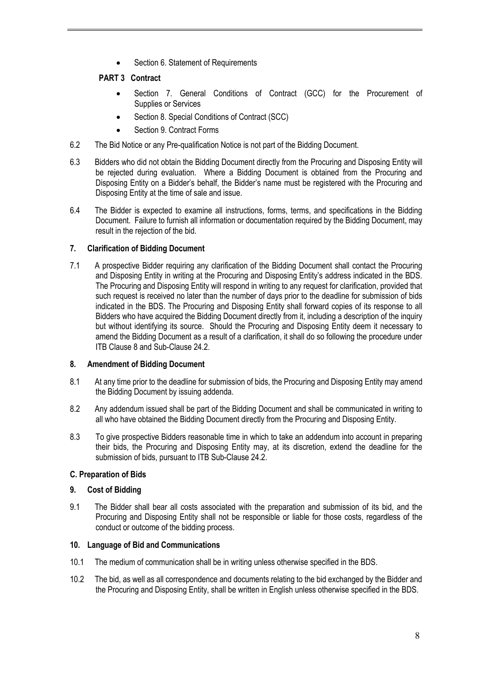• Section 6. Statement of Requirements

# **PART 3 Contract**

- Section 7. General Conditions of Contract (GCC) for the Procurement of Supplies or Services
- Section 8. Special Conditions of Contract (SCC)
- Section 9. Contract Forms
- 6.2 The Bid Notice or any Pre-qualification Notice is not part of the Bidding Document.
- 6.3 Bidders who did not obtain the Bidding Document directly from the Procuring and Disposing Entity will be rejected during evaluation. Where a Bidding Document is obtained from the Procuring and Disposing Entity on a Bidder's behalf, the Bidder's name must be registered with the Procuring and Disposing Entity at the time of sale and issue.
- 6.4 The Bidder is expected to examine all instructions, forms, terms, and specifications in the Bidding Document. Failure to furnish all information or documentation required by the Bidding Document, may result in the rejection of the bid.

# **7. Clarification of Bidding Document**

7.1 A prospective Bidder requiring any clarification of the Bidding Document shall contact the Procuring and Disposing Entity in writing at the Procuring and Disposing Entity's address indicated in the BDS. The Procuring and Disposing Entity will respond in writing to any request for clarification, provided that such request is received no later than the number of days prior to the deadline for submission of bids indicated in the BDS. The Procuring and Disposing Entity shall forward copies of its response to all Bidders who have acquired the Bidding Document directly from it, including a description of the inquiry but without identifying its source. Should the Procuring and Disposing Entity deem it necessary to amend the Bidding Document as a result of a clarification, it shall do so following the procedure under ITB Clause 8 and Sub-Clause 24.2.

#### **8. Amendment of Bidding Document**

- 8.1 At any time prior to the deadline for submission of bids, the Procuring and Disposing Entity may amend the Bidding Document by issuing addenda.
- 8.2 Any addendum issued shall be part of the Bidding Document and shall be communicated in writing to all who have obtained the Bidding Document directly from the Procuring and Disposing Entity.
- 8.3 To give prospective Bidders reasonable time in which to take an addendum into account in preparing their bids, the Procuring and Disposing Entity may, at its discretion, extend the deadline for the submission of bids, pursuant to ITB Sub-Clause 24.2.

# **C. Preparation of Bids**

#### **9. Cost of Bidding**

9.1 The Bidder shall bear all costs associated with the preparation and submission of its bid, and the Procuring and Disposing Entity shall not be responsible or liable for those costs, regardless of the conduct or outcome of the bidding process.

#### **10. Language of Bid and Communications**

- 10.1 The medium of communication shall be in writing unless otherwise specified in the BDS.
- 10.2 The bid, as well as all correspondence and documents relating to the bid exchanged by the Bidder and the Procuring and Disposing Entity, shall be written in English unless otherwise specified in the BDS.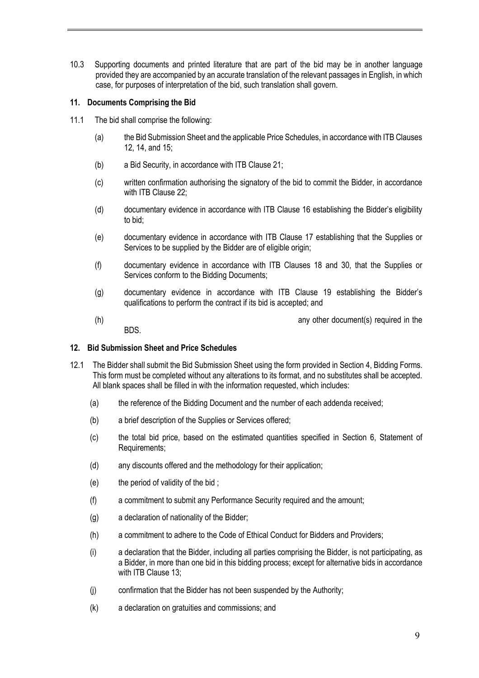10.3 Supporting documents and printed literature that are part of the bid may be in another language provided they are accompanied by an accurate translation of the relevant passages in English, in which case, for purposes of interpretation of the bid, such translation shall govern.

#### **11. Documents Comprising the Bid**

- 11.1 The bid shall comprise the following:
	- (a) the Bid Submission Sheet and the applicable Price Schedules, in accordance with ITB Clauses 12, 14, and 15;
	- (b) a Bid Security, in accordance with ITB Clause 21;
	- (c) written confirmation authorising the signatory of the bid to commit the Bidder, in accordance with ITB Clause 22;
	- (d) documentary evidence in accordance with ITB Clause 16 establishing the Bidder's eligibility to bid;
	- (e) documentary evidence in accordance with ITB Clause 17 establishing that the Supplies or Services to be supplied by the Bidder are of eligible origin;
	- (f) documentary evidence in accordance with ITB Clauses 18 and 30, that the Supplies or Services conform to the Bidding Documents;
	- (g) documentary evidence in accordance with ITB Clause 19 establishing the Bidder's qualifications to perform the contract if its bid is accepted; and
	- (h) any other document(s) required in the  $\sum_{i=1}^{n}$  any other document(s) required in the BDS.

#### **12. Bid Submission Sheet and Price Schedules**

- 12.1 The Bidder shall submit the Bid Submission Sheet using the form provided in Section 4, Bidding Forms. This form must be completed without any alterations to its format, and no substitutes shall be accepted. All blank spaces shall be filled in with the information requested, which includes:
	- (a) the reference of the Bidding Document and the number of each addenda received;
	- (b) a brief description of the Supplies or Services offered;
	- (c) the total bid price, based on the estimated quantities specified in Section 6, Statement of Requirements;
	- (d) any discounts offered and the methodology for their application;
	- (e) the period of validity of the bid ;
	- (f) a commitment to submit any Performance Security required and the amount;
	- (g) a declaration of nationality of the Bidder;
	- (h) a commitment to adhere to the Code of Ethical Conduct for Bidders and Providers;
	- (i) a declaration that the Bidder, including all parties comprising the Bidder, is not participating, as a Bidder, in more than one bid in this bidding process; except for alternative bids in accordance with ITB Clause 13;
	- (j) confirmation that the Bidder has not been suspended by the Authority;
	- (k) a declaration on gratuities and commissions; and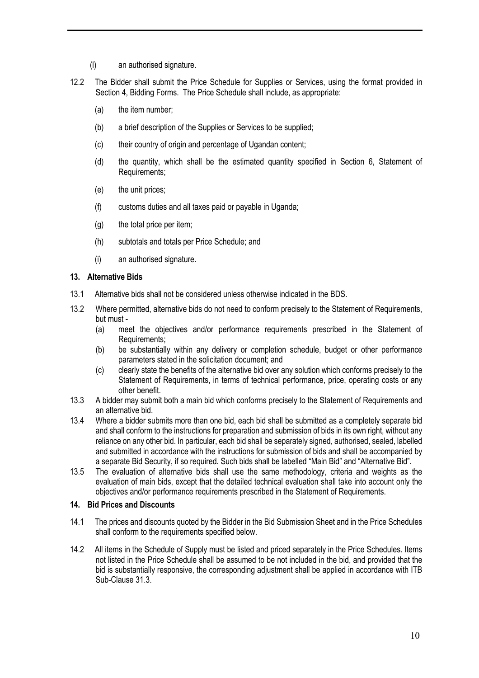- (l) an authorised signature.
- 12.2 The Bidder shall submit the Price Schedule for Supplies or Services, using the format provided in Section 4, Bidding Forms. The Price Schedule shall include, as appropriate:
	- (a) the item number;
	- (b) a brief description of the Supplies or Services to be supplied;
	- (c) their country of origin and percentage of Ugandan content;
	- (d) the quantity, which shall be the estimated quantity specified in Section 6, Statement of Requirements;
	- (e) the unit prices;
	- (f) customs duties and all taxes paid or payable in Uganda;
	- (g) the total price per item;
	- (h) subtotals and totals per Price Schedule; and
	- (i) an authorised signature.

#### **13. Alternative Bids**

- 13.1 Alternative bids shall not be considered unless otherwise indicated in the BDS.
- 13.2 Where permitted, alternative bids do not need to conform precisely to the Statement of Requirements, but must -
	- (a) meet the objectives and/or performance requirements prescribed in the Statement of Requirements;
	- (b) be substantially within any delivery or completion schedule, budget or other performance parameters stated in the solicitation document; and
	- (c) clearly state the benefits of the alternative bid over any solution which conforms precisely to the Statement of Requirements, in terms of technical performance, price, operating costs or any other benefit.
- 13.3 A bidder may submit both a main bid which conforms precisely to the Statement of Requirements and an alternative bid.
- 13.4 Where a bidder submits more than one bid, each bid shall be submitted as a completely separate bid and shall conform to the instructions for preparation and submission of bids in its own right, without any reliance on any other bid. In particular, each bid shall be separately signed, authorised, sealed, labelled and submitted in accordance with the instructions for submission of bids and shall be accompanied by a separate Bid Security, if so required. Such bids shall be labelled "Main Bid" and "Alternative Bid".
- 13.5 The evaluation of alternative bids shall use the same methodology, criteria and weights as the evaluation of main bids, except that the detailed technical evaluation shall take into account only the objectives and/or performance requirements prescribed in the Statement of Requirements.

#### **14. Bid Prices and Discounts**

- 14.1 The prices and discounts quoted by the Bidder in the Bid Submission Sheet and in the Price Schedules shall conform to the requirements specified below.
- 14.2 All items in the Schedule of Supply must be listed and priced separately in the Price Schedules. Items not listed in the Price Schedule shall be assumed to be not included in the bid, and provided that the bid is substantially responsive, the corresponding adjustment shall be applied in accordance with ITB Sub-Clause 31.3.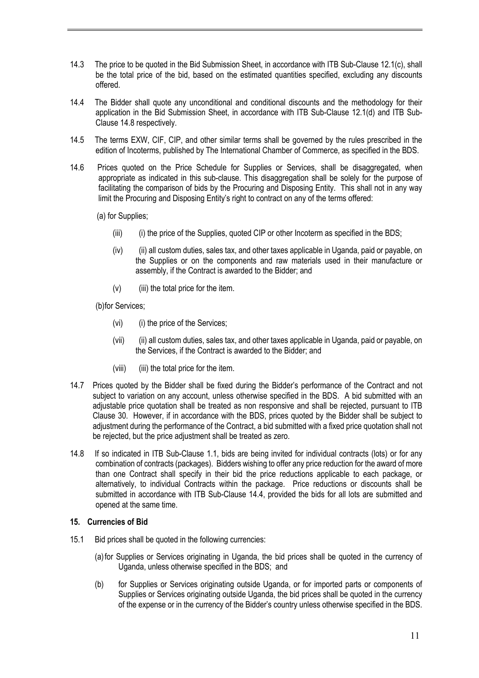- 14.3 The price to be quoted in the Bid Submission Sheet, in accordance with ITB Sub-Clause 12.1(c), shall be the total price of the bid, based on the estimated quantities specified, excluding any discounts offered.
- 14.4 The Bidder shall quote any unconditional and conditional discounts and the methodology for their application in the Bid Submission Sheet, in accordance with ITB Sub-Clause 12.1(d) and ITB Sub-Clause 14.8 respectively.
- 14.5 The terms EXW, CIF, CIP, and other similar terms shall be governed by the rules prescribed in the edition of Incoterms, published by The International Chamber of Commerce, as specified in the BDS.
- 14.6 Prices quoted on the Price Schedule for Supplies or Services, shall be disaggregated, when appropriate as indicated in this sub-clause. This disaggregation shall be solely for the purpose of facilitating the comparison of bids by the Procuring and Disposing Entity. This shall not in any way limit the Procuring and Disposing Entity's right to contract on any of the terms offered:
	- (a) for Supplies;
		- (iii) (i) the price of the Supplies, quoted CIP or other Incoterm as specified in the BDS;
		- (iv) (ii) all custom duties, sales tax, and other taxes applicable in Uganda, paid or payable, on the Supplies or on the components and raw materials used in their manufacture or assembly, if the Contract is awarded to the Bidder; and
		- $(v)$  (iii) the total price for the item.

(b)for Services;

- (vi) (i) the price of the Services;
- (vii) (ii) all custom duties, sales tax, and other taxes applicable in Uganda, paid or payable, on the Services, if the Contract is awarded to the Bidder; and
- (viii) (iii) the total price for the item.
- 14.7 Prices quoted by the Bidder shall be fixed during the Bidder's performance of the Contract and not subject to variation on any account, unless otherwise specified in the BDS. A bid submitted with an adjustable price quotation shall be treated as non responsive and shall be rejected, pursuant to ITB Clause 30. However, if in accordance with the BDS, prices quoted by the Bidder shall be subject to adjustment during the performance of the Contract, a bid submitted with a fixed price quotation shall not be rejected, but the price adjustment shall be treated as zero.
- 14.8 If so indicated in ITB Sub-Clause 1.1, bids are being invited for individual contracts (lots) or for any combination of contracts (packages). Bidders wishing to offer any price reduction for the award of more than one Contract shall specify in their bid the price reductions applicable to each package, or alternatively, to individual Contracts within the package. Price reductions or discounts shall be submitted in accordance with ITB Sub-Clause 14.4, provided the bids for all lots are submitted and opened at the same time.

#### **15. Currencies of Bid**

- 15.1 Bid prices shall be quoted in the following currencies:
	- (a)for Supplies or Services originating in Uganda, the bid prices shall be quoted in the currency of Uganda, unless otherwise specified in the BDS; and
	- (b) for Supplies or Services originating outside Uganda, or for imported parts or components of Supplies or Services originating outside Uganda, the bid prices shall be quoted in the currency of the expense or in the currency of the Bidder's country unless otherwise specified in the BDS.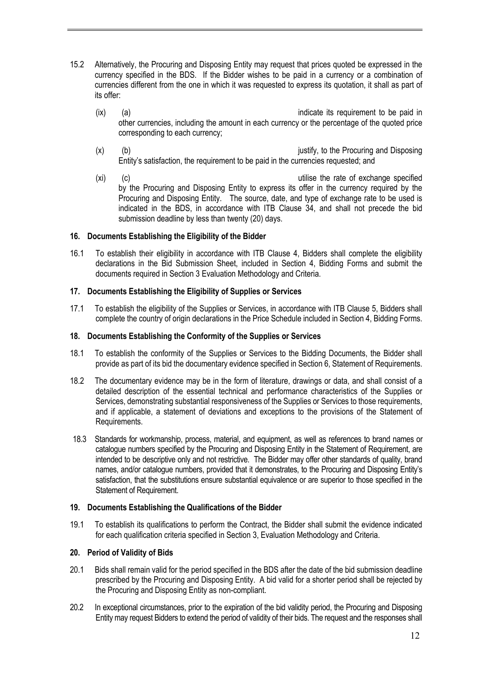- 15.2 Alternatively, the Procuring and Disposing Entity may request that prices quoted be expressed in the currency specified in the BDS. If the Bidder wishes to be paid in a currency or a combination of currencies different from the one in which it was requested to express its quotation, it shall as part of its offer:
	- (ix) (a) indicate its requirement to be paid in other currencies, including the amount in each currency or the percentage of the quoted price corresponding to each currency;
	- (x) (b) (b) in the Procuring and Disposing (x) (b)  $\sim$  justify, to the Procuring and Disposing Entity's satisfaction, the requirement to be paid in the currencies requested; and
	- (xi) (c) utilise the rate of exchange specified by the Procuring and Disposing Entity to express its offer in the currency required by the Procuring and Disposing Entity. The source, date, and type of exchange rate to be used is indicated in the BDS, in accordance with ITB Clause 34, and shall not precede the bid submission deadline by less than twenty (20) days.

# **16. Documents Establishing the Eligibility of the Bidder**

16.1 To establish their eligibility in accordance with ITB Clause 4, Bidders shall complete the eligibility declarations in the Bid Submission Sheet, included in Section 4, Bidding Forms and submit the documents required in Section 3 Evaluation Methodology and Criteria.

#### **17. Documents Establishing the Eligibility of Supplies or Services**

17.1 To establish the eligibility of the Supplies or Services, in accordance with ITB Clause 5, Bidders shall complete the country of origin declarations in the Price Schedule included in Section 4, Bidding Forms.

# **18. Documents Establishing the Conformity of the Supplies or Services**

- 18.1 To establish the conformity of the Supplies or Services to the Bidding Documents, the Bidder shall provide as part of its bid the documentary evidence specified in Section 6, Statement of Requirements.
- 18.2 The documentary evidence may be in the form of literature, drawings or data, and shall consist of a detailed description of the essential technical and performance characteristics of the Supplies or Services, demonstrating substantial responsiveness of the Supplies or Services to those requirements, and if applicable, a statement of deviations and exceptions to the provisions of the Statement of Requirements.
- 18.3 Standards for workmanship, process, material, and equipment, as well as references to brand names or catalogue numbers specified by the Procuring and Disposing Entity in the Statement of Requirement, are intended to be descriptive only and not restrictive. The Bidder may offer other standards of quality, brand names, and/or catalogue numbers, provided that it demonstrates, to the Procuring and Disposing Entity's satisfaction, that the substitutions ensure substantial equivalence or are superior to those specified in the Statement of Requirement.

#### **19. Documents Establishing the Qualifications of the Bidder**

19.1 To establish its qualifications to perform the Contract, the Bidder shall submit the evidence indicated for each qualification criteria specified in Section 3, Evaluation Methodology and Criteria.

#### **20. Period of Validity of Bids**

- 20.1 Bids shall remain valid for the period specified in the BDS after the date of the bid submission deadline prescribed by the Procuring and Disposing Entity. A bid valid for a shorter period shall be rejected by the Procuring and Disposing Entity as non-compliant.
- 20.2 In exceptional circumstances, prior to the expiration of the bid validity period, the Procuring and Disposing Entity may request Bidders to extend the period of validity of their bids. The request and the responses shall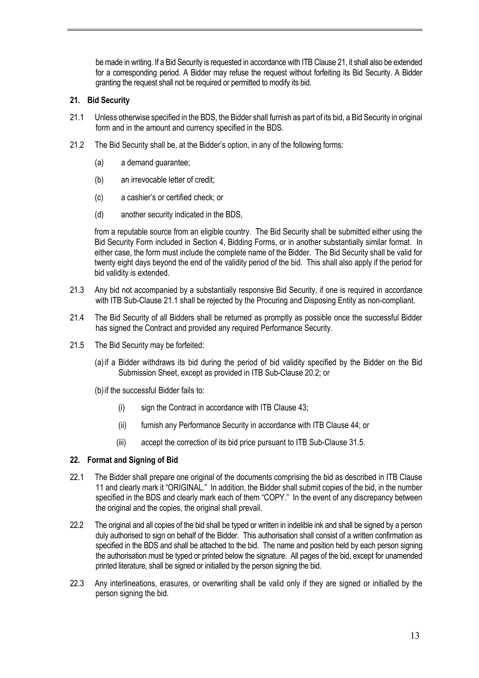be made in writing. If a Bid Security is requested in accordance with ITB Clause 21, it shall also be extended for a corresponding period. A Bidder may refuse the request without forfeiting its Bid Security. A Bidder granting the request shall not be required or permitted to modify its bid.

#### **21. Bid Security**

- 21.1 Unless otherwise specified in the BDS, the Bidder shall furnish as part of its bid, a Bid Security in original form and in the amount and currency specified in the BDS.
- 21.2 The Bid Security shall be, at the Bidder's option, in any of the following forms:
	- (a) a demand guarantee;
	- (b) an irrevocable letter of credit;
	- (c) a cashier's or certified check; or
	- (d) another security indicated in the BDS,

from a reputable source from an eligible country. The Bid Security shall be submitted either using the Bid Security Form included in Section 4, Bidding Forms, or in another substantially similar format. In either case, the form must include the complete name of the Bidder. The Bid Security shall be valid for twenty eight days beyond the end of the validity period of the bid. This shall also apply if the period for bid validity is extended.

- 21.3 Any bid not accompanied by a substantially responsive Bid Security, if one is required in accordance with ITB Sub-Clause 21.1 shall be rejected by the Procuring and Disposing Entity as non-compliant.
- 21.4 The Bid Security of all Bidders shall be returned as promptly as possible once the successful Bidder has signed the Contract and provided any required Performance Security.
- 21.5 The Bid Security may be forfeited:
	- (a)if a Bidder withdraws its bid during the period of bid validity specified by the Bidder on the Bid Submission Sheet, except as provided in ITB Sub-Clause 20.2; or
	- (b)if the successful Bidder fails to:
		- (i) sign the Contract in accordance with ITB Clause 43;
		- (ii) furnish any Performance Security in accordance with ITB Clause 44; or
		- (iii) accept the correction of its bid price pursuant to ITB Sub-Clause 31.5.

#### **22. Format and Signing of Bid**

- 22.1 The Bidder shall prepare one original of the documents comprising the bid as described in ITB Clause 11 and clearly mark it "ORIGINAL." In addition, the Bidder shall submit copies of the bid, in the number specified in the BDS and clearly mark each of them "COPY." In the event of any discrepancy between the original and the copies, the original shall prevail.
- 22.2 The original and all copies of the bid shall be typed or written in indelible ink and shall be signed by a person duly authorised to sign on behalf of the Bidder. This authorisation shall consist of a written confirmation as specified in the BDS and shall be attached to the bid. The name and position held by each person signing the authorisation must be typed or printed below the signature. All pages of the bid, except for unamended printed literature, shall be signed or initialled by the person signing the bid.
- 22.3 Any interlineations, erasures, or overwriting shall be valid only if they are signed or initialled by the person signing the bid.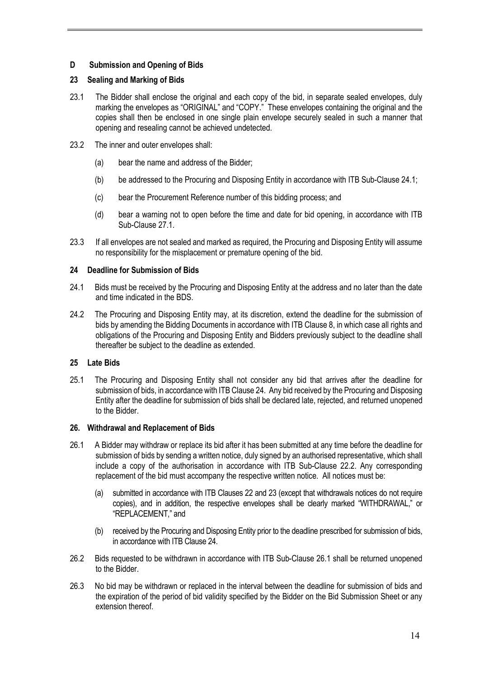# **D Submission and Opening of Bids**

## **23 Sealing and Marking of Bids**

- 23.1 The Bidder shall enclose the original and each copy of the bid, in separate sealed envelopes, duly marking the envelopes as "ORIGINAL" and "COPY." These envelopes containing the original and the copies shall then be enclosed in one single plain envelope securely sealed in such a manner that opening and resealing cannot be achieved undetected.
- 23.2 The inner and outer envelopes shall:
	- (a) bear the name and address of the Bidder;
	- (b) be addressed to the Procuring and Disposing Entity in accordance with ITB Sub-Clause 24.1;
	- (c) bear the Procurement Reference number of this bidding process; and
	- (d) bear a warning not to open before the time and date for bid opening, in accordance with ITB Sub-Clause 27.1.
- 23.3 If all envelopes are not sealed and marked as required, the Procuring and Disposing Entity will assume no responsibility for the misplacement or premature opening of the bid.

#### **24 Deadline for Submission of Bids**

- 24.1 Bids must be received by the Procuring and Disposing Entity at the address and no later than the date and time indicated in the BDS.
- 24.2 The Procuring and Disposing Entity may, at its discretion, extend the deadline for the submission of bids by amending the Bidding Documents in accordance with ITB Clause 8, in which case all rights and obligations of the Procuring and Disposing Entity and Bidders previously subject to the deadline shall thereafter be subject to the deadline as extended.

#### **25 Late Bids**

25.1 The Procuring and Disposing Entity shall not consider any bid that arrives after the deadline for submission of bids, in accordance with ITB Clause 24. Any bid received by the Procuring and Disposing Entity after the deadline for submission of bids shall be declared late, rejected, and returned unopened to the Bidder.

#### **26. Withdrawal and Replacement of Bids**

- 26.1 A Bidder may withdraw or replace its bid after it has been submitted at any time before the deadline for submission of bids by sending a written notice, duly signed by an authorised representative, which shall include a copy of the authorisation in accordance with ITB Sub-Clause 22.2. Any corresponding replacement of the bid must accompany the respective written notice. All notices must be:
	- (a) submitted in accordance with ITB Clauses 22 and 23 (except that withdrawals notices do not require copies), and in addition, the respective envelopes shall be clearly marked "WITHDRAWAL," or "REPLACEMENT," and
	- (b) received by the Procuring and Disposing Entity prior to the deadline prescribed for submission of bids, in accordance with ITB Clause 24.
- 26.2 Bids requested to be withdrawn in accordance with ITB Sub-Clause 26.1 shall be returned unopened to the Bidder.
- 26.3 No bid may be withdrawn or replaced in the interval between the deadline for submission of bids and the expiration of the period of bid validity specified by the Bidder on the Bid Submission Sheet or any extension thereof.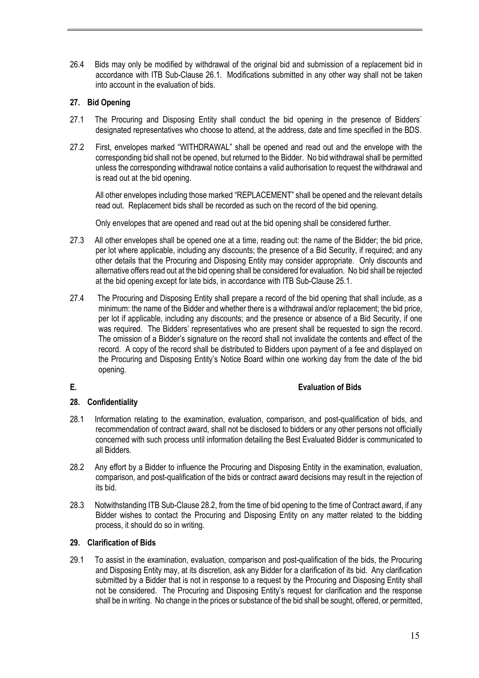26.4 Bids may only be modified by withdrawal of the original bid and submission of a replacement bid in accordance with ITB Sub-Clause 26.1. Modifications submitted in any other way shall not be taken into account in the evaluation of bids.

# **27. Bid Opening**

- 27.1 The Procuring and Disposing Entity shall conduct the bid opening in the presence of Bidders` designated representatives who choose to attend, at the address, date and time specified in the BDS.
- 27.2 First, envelopes marked "WITHDRAWAL" shall be opened and read out and the envelope with the corresponding bid shall not be opened, but returned to the Bidder. No bid withdrawal shall be permitted unless the corresponding withdrawal notice contains a valid authorisation to request the withdrawal and is read out at the bid opening.

All other envelopes including those marked "REPLACEMENT" shall be opened and the relevant details read out. Replacement bids shall be recorded as such on the record of the bid opening.

Only envelopes that are opened and read out at the bid opening shall be considered further.

- 27.3 All other envelopes shall be opened one at a time, reading out: the name of the Bidder; the bid price, per lot where applicable, including any discounts; the presence of a Bid Security, if required; and any other details that the Procuring and Disposing Entity may consider appropriate. Only discounts and alternative offers read out at the bid opening shall be considered for evaluation. No bid shall be rejected at the bid opening except for late bids, in accordance with ITB Sub-Clause 25.1.
- 27.4 The Procuring and Disposing Entity shall prepare a record of the bid opening that shall include, as a minimum: the name of the Bidder and whether there is a withdrawal and/or replacement; the bid price, per lot if applicable, including any discounts; and the presence or absence of a Bid Security, if one was required. The Bidders' representatives who are present shall be requested to sign the record. The omission of a Bidder's signature on the record shall not invalidate the contents and effect of the record. A copy of the record shall be distributed to Bidders upon payment of a fee and displayed on the Procuring and Disposing Entity's Notice Board within one working day from the date of the bid opening.

#### **E. Evaluation of Bids**

#### **28. Confidentiality**

- 28.1 Information relating to the examination, evaluation, comparison, and post-qualification of bids, and recommendation of contract award, shall not be disclosed to bidders or any other persons not officially concerned with such process until information detailing the Best Evaluated Bidder is communicated to all Bidders.
- 28.2 Any effort by a Bidder to influence the Procuring and Disposing Entity in the examination, evaluation, comparison, and post-qualification of the bids or contract award decisions may result in the rejection of its bid.
- 28.3 Notwithstanding ITB Sub-Clause 28.2, from the time of bid opening to the time of Contract award, if any Bidder wishes to contact the Procuring and Disposing Entity on any matter related to the bidding process, it should do so in writing.

#### **29. Clarification of Bids**

29.1 To assist in the examination, evaluation, comparison and post-qualification of the bids, the Procuring and Disposing Entity may, at its discretion, ask any Bidder for a clarification of its bid. Any clarification submitted by a Bidder that is not in response to a request by the Procuring and Disposing Entity shall not be considered. The Procuring and Disposing Entity's request for clarification and the response shall be in writing. No change in the prices or substance of the bid shall be sought, offered, or permitted,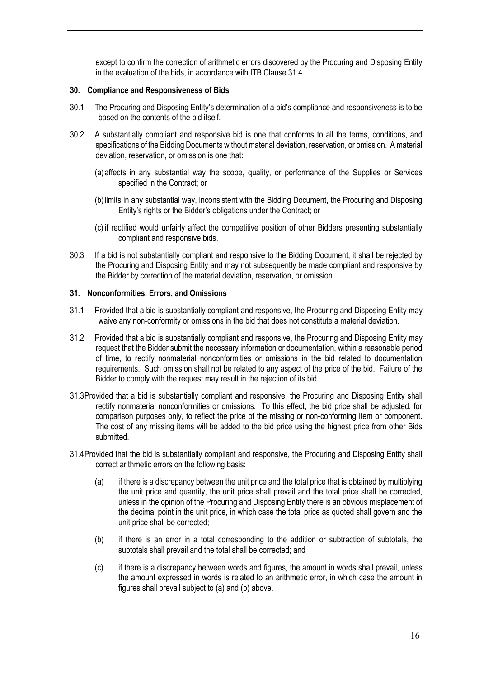except to confirm the correction of arithmetic errors discovered by the Procuring and Disposing Entity in the evaluation of the bids, in accordance with ITB Clause 31.4.

#### **30. Compliance and Responsiveness of Bids**

- 30.1 The Procuring and Disposing Entity's determination of a bid's compliance and responsiveness is to be based on the contents of the bid itself.
- 30.2 A substantially compliant and responsive bid is one that conforms to all the terms, conditions, and specifications of the Bidding Documents without material deviation, reservation, or omission. A material deviation, reservation, or omission is one that:
	- (a)affects in any substantial way the scope, quality, or performance of the Supplies or Services specified in the Contract; or
	- (b)limits in any substantial way, inconsistent with the Bidding Document, the Procuring and Disposing Entity's rights or the Bidder's obligations under the Contract; or
	- (c) if rectified would unfairly affect the competitive position of other Bidders presenting substantially compliant and responsive bids.
- 30.3 If a bid is not substantially compliant and responsive to the Bidding Document, it shall be rejected by the Procuring and Disposing Entity and may not subsequently be made compliant and responsive by the Bidder by correction of the material deviation, reservation, or omission.

#### **31. Nonconformities, Errors, and Omissions**

- 31.1 Provided that a bid is substantially compliant and responsive, the Procuring and Disposing Entity may waive any non-conformity or omissions in the bid that does not constitute a material deviation.
- 31.2 Provided that a bid is substantially compliant and responsive, the Procuring and Disposing Entity may request that the Bidder submit the necessary information or documentation, within a reasonable period of time, to rectify nonmaterial nonconformities or omissions in the bid related to documentation requirements. Such omission shall not be related to any aspect of the price of the bid. Failure of the Bidder to comply with the request may result in the rejection of its bid.
- 31.3Provided that a bid is substantially compliant and responsive, the Procuring and Disposing Entity shall rectify nonmaterial nonconformities or omissions. To this effect, the bid price shall be adjusted, for comparison purposes only, to reflect the price of the missing or non-conforming item or component. The cost of any missing items will be added to the bid price using the highest price from other Bids submitted.
- 31.4Provided that the bid is substantially compliant and responsive, the Procuring and Disposing Entity shall correct arithmetic errors on the following basis:
	- (a) if there is a discrepancy between the unit price and the total price that is obtained by multiplying the unit price and quantity, the unit price shall prevail and the total price shall be corrected, unless in the opinion of the Procuring and Disposing Entity there is an obvious misplacement of the decimal point in the unit price, in which case the total price as quoted shall govern and the unit price shall be corrected;
	- (b) if there is an error in a total corresponding to the addition or subtraction of subtotals, the subtotals shall prevail and the total shall be corrected; and
	- (c) if there is a discrepancy between words and figures, the amount in words shall prevail, unless the amount expressed in words is related to an arithmetic error, in which case the amount in figures shall prevail subject to (a) and (b) above.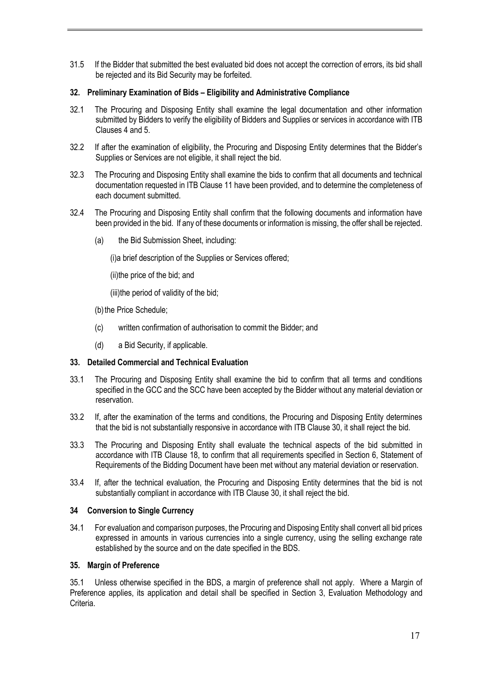31.5 If the Bidder that submitted the best evaluated bid does not accept the correction of errors, its bid shall be rejected and its Bid Security may be forfeited.

#### **32. Preliminary Examination of Bids – Eligibility and Administrative Compliance**

- 32.1 The Procuring and Disposing Entity shall examine the legal documentation and other information submitted by Bidders to verify the eligibility of Bidders and Supplies or services in accordance with ITB Clauses 4 and 5.
- 32.2 If after the examination of eligibility, the Procuring and Disposing Entity determines that the Bidder's Supplies or Services are not eligible, it shall reject the bid.
- 32.3 The Procuring and Disposing Entity shall examine the bids to confirm that all documents and technical documentation requested in ITB Clause 11 have been provided, and to determine the completeness of each document submitted.
- 32.4 The Procuring and Disposing Entity shall confirm that the following documents and information have been provided in the bid. If any of these documents or information is missing, the offer shall be rejected.
	- (a) the Bid Submission Sheet, including:

(i)a brief description of the Supplies or Services offered;

(ii)the price of the bid; and

(iii)the period of validity of the bid;

(b) the Price Schedule;

- (c) written confirmation of authorisation to commit the Bidder; and
- (d) a Bid Security, if applicable.

#### **33. Detailed Commercial and Technical Evaluation**

- 33.1 The Procuring and Disposing Entity shall examine the bid to confirm that all terms and conditions specified in the GCC and the SCC have been accepted by the Bidder without any material deviation or reservation.
- 33.2 If, after the examination of the terms and conditions, the Procuring and Disposing Entity determines that the bid is not substantially responsive in accordance with ITB Clause 30, it shall reject the bid.
- 33.3 The Procuring and Disposing Entity shall evaluate the technical aspects of the bid submitted in accordance with ITB Clause 18, to confirm that all requirements specified in Section 6, Statement of Requirements of the Bidding Document have been met without any material deviation or reservation.
- 33.4 If, after the technical evaluation, the Procuring and Disposing Entity determines that the bid is not substantially compliant in accordance with ITB Clause 30, it shall reject the bid.

#### **34 Conversion to Single Currency**

34.1 For evaluation and comparison purposes, the Procuring and Disposing Entity shall convert all bid prices expressed in amounts in various currencies into a single currency, using the selling exchange rate established by the source and on the date specified in the BDS.

#### **35. Margin of Preference**

35.1 Unless otherwise specified in the BDS, a margin of preference shall not apply. Where a Margin of Preference applies, its application and detail shall be specified in Section 3, Evaluation Methodology and Criteria.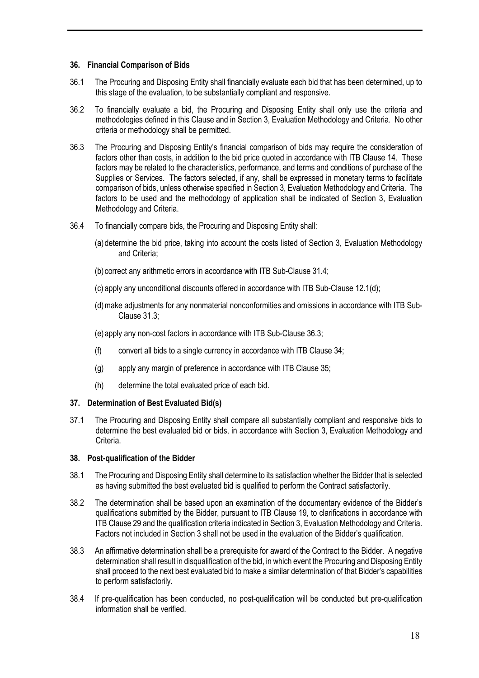#### **36. Financial Comparison of Bids**

- 36.1 The Procuring and Disposing Entity shall financially evaluate each bid that has been determined, up to this stage of the evaluation, to be substantially compliant and responsive.
- 36.2 To financially evaluate a bid, the Procuring and Disposing Entity shall only use the criteria and methodologies defined in this Clause and in Section 3, Evaluation Methodology and Criteria. No other criteria or methodology shall be permitted.
- 36.3 The Procuring and Disposing Entity's financial comparison of bids may require the consideration of factors other than costs, in addition to the bid price quoted in accordance with ITB Clause 14. These factors may be related to the characteristics, performance, and terms and conditions of purchase of the Supplies or Services. The factors selected, if any, shall be expressed in monetary terms to facilitate comparison of bids, unless otherwise specified in Section 3, Evaluation Methodology and Criteria. The factors to be used and the methodology of application shall be indicated of Section 3, Evaluation Methodology and Criteria.
- 36.4 To financially compare bids, the Procuring and Disposing Entity shall:
	- (a)determine the bid price, taking into account the costs listed of Section 3, Evaluation Methodology and Criteria;
	- (b) correct any arithmetic errors in accordance with ITB Sub-Clause 31.4;
	- (c) apply any unconditional discounts offered in accordance with ITB Sub-Clause 12.1(d);
	- (d)make adjustments for any nonmaterial nonconformities and omissions in accordance with ITB Sub-Clause 31.3;
	- (e)apply any non-cost factors in accordance with ITB Sub-Clause 36.3;
	- (f) convert all bids to a single currency in accordance with ITB Clause 34;
	- (g) apply any margin of preference in accordance with ITB Clause 35;
	- (h) determine the total evaluated price of each bid.

#### **37. Determination of Best Evaluated Bid(s)**

37.1 The Procuring and Disposing Entity shall compare all substantially compliant and responsive bids to determine the best evaluated bid or bids, in accordance with Section 3, Evaluation Methodology and Criteria.

#### **38. Post-qualification of the Bidder**

- 38.1 The Procuring and Disposing Entity shall determine to its satisfaction whether the Bidder that is selected as having submitted the best evaluated bid is qualified to perform the Contract satisfactorily.
- 38.2 The determination shall be based upon an examination of the documentary evidence of the Bidder's qualifications submitted by the Bidder, pursuant to ITB Clause 19, to clarifications in accordance with ITB Clause 29 and the qualification criteria indicated in Section 3, Evaluation Methodology and Criteria. Factors not included in Section 3 shall not be used in the evaluation of the Bidder's qualification.
- 38.3 An affirmative determination shall be a prerequisite for award of the Contract to the Bidder. A negative determination shall result in disqualification of the bid, in which event the Procuring and Disposing Entity shall proceed to the next best evaluated bid to make a similar determination of that Bidder's capabilities to perform satisfactorily.
- 38.4 If pre-qualification has been conducted, no post-qualification will be conducted but pre-qualification information shall be verified.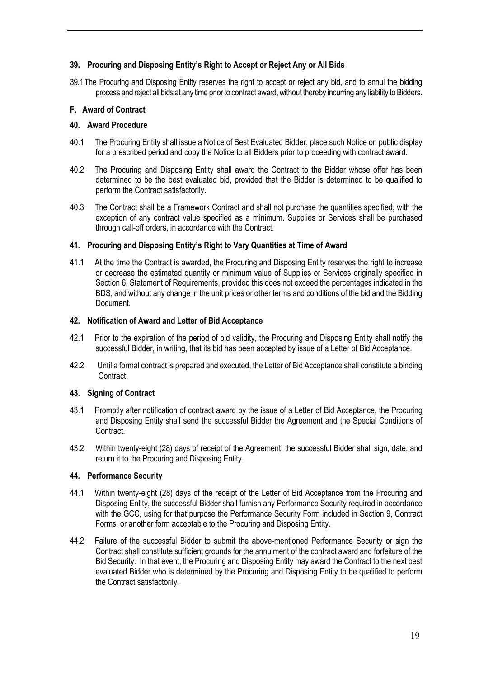# **39. Procuring and Disposing Entity's Right to Accept or Reject Any or All Bids**

39.1The Procuring and Disposing Entity reserves the right to accept or reject any bid, and to annul the bidding process and reject all bids at any time prior to contract award, without thereby incurring any liability to Bidders.

# **F. Award of Contract**

# **40. Award Procedure**

- 40.1 The Procuring Entity shall issue a Notice of Best Evaluated Bidder, place such Notice on public display for a prescribed period and copy the Notice to all Bidders prior to proceeding with contract award.
- 40.2 The Procuring and Disposing Entity shall award the Contract to the Bidder whose offer has been determined to be the best evaluated bid, provided that the Bidder is determined to be qualified to perform the Contract satisfactorily.
- 40.3 The Contract shall be a Framework Contract and shall not purchase the quantities specified, with the exception of any contract value specified as a minimum. Supplies or Services shall be purchased through call-off orders, in accordance with the Contract.

#### **41. Procuring and Disposing Entity's Right to Vary Quantities at Time of Award**

41.1 At the time the Contract is awarded, the Procuring and Disposing Entity reserves the right to increase or decrease the estimated quantity or minimum value of Supplies or Services originally specified in Section 6, Statement of Requirements, provided this does not exceed the percentages indicated in the BDS, and without any change in the unit prices or other terms and conditions of the bid and the Bidding Document.

#### **42. Notification of Award and Letter of Bid Acceptance**

- 42.1 Prior to the expiration of the period of bid validity, the Procuring and Disposing Entity shall notify the successful Bidder, in writing, that its bid has been accepted by issue of a Letter of Bid Acceptance.
- 42.2 Until a formal contract is prepared and executed, the Letter of Bid Acceptance shall constitute a binding Contract.

# **43. Signing of Contract**

- 43.1 Promptly after notification of contract award by the issue of a Letter of Bid Acceptance, the Procuring and Disposing Entity shall send the successful Bidder the Agreement and the Special Conditions of Contract.
- 43.2 Within twenty-eight (28) days of receipt of the Agreement, the successful Bidder shall sign, date, and return it to the Procuring and Disposing Entity.

# **44. Performance Security**

- 44.1 Within twenty-eight (28) days of the receipt of the Letter of Bid Acceptance from the Procuring and Disposing Entity, the successful Bidder shall furnish any Performance Security required in accordance with the GCC, using for that purpose the Performance Security Form included in Section 9, Contract Forms, or another form acceptable to the Procuring and Disposing Entity.
- 44.2 Failure of the successful Bidder to submit the above-mentioned Performance Security or sign the Contract shall constitute sufficient grounds for the annulment of the contract award and forfeiture of the Bid Security. In that event, the Procuring and Disposing Entity may award the Contract to the next best evaluated Bidder who is determined by the Procuring and Disposing Entity to be qualified to perform the Contract satisfactorily.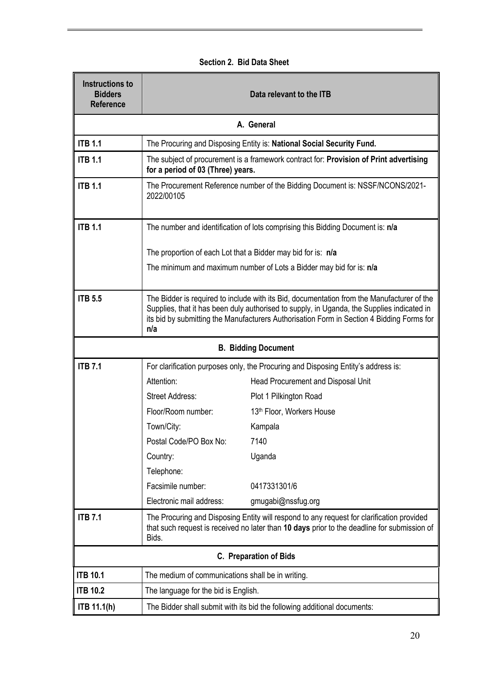| Section 2. Bid Data Sheet |  |  |  |  |
|---------------------------|--|--|--|--|
|---------------------------|--|--|--|--|

 $\mathbf{r}$ 

| <b>Instructions to</b><br><b>Bidders</b><br><b>Reference</b> | Data relevant to the ITB                                                                                                                                                                                                                                                              |                                                                                        |  |  |  |  |
|--------------------------------------------------------------|---------------------------------------------------------------------------------------------------------------------------------------------------------------------------------------------------------------------------------------------------------------------------------------|----------------------------------------------------------------------------------------|--|--|--|--|
| A. General                                                   |                                                                                                                                                                                                                                                                                       |                                                                                        |  |  |  |  |
| <b>ITB 1.1</b>                                               | The Procuring and Disposing Entity is: National Social Security Fund.                                                                                                                                                                                                                 |                                                                                        |  |  |  |  |
| <b>ITB 1.1</b>                                               | for a period of 03 (Three) years.                                                                                                                                                                                                                                                     | The subject of procurement is a framework contract for: Provision of Print advertising |  |  |  |  |
| <b>ITB 1.1</b>                                               | 2022/00105                                                                                                                                                                                                                                                                            | The Procurement Reference number of the Bidding Document is: NSSF/NCONS/2021-          |  |  |  |  |
| <b>ITB 1.1</b>                                               |                                                                                                                                                                                                                                                                                       | The number and identification of lots comprising this Bidding Document is: n/a         |  |  |  |  |
|                                                              | The proportion of each Lot that a Bidder may bid for is: n/a                                                                                                                                                                                                                          |                                                                                        |  |  |  |  |
|                                                              |                                                                                                                                                                                                                                                                                       | The minimum and maximum number of Lots a Bidder may bid for is: n/a                    |  |  |  |  |
| <b>ITB 5.5</b>                                               | The Bidder is required to include with its Bid, documentation from the Manufacturer of the<br>Supplies, that it has been duly authorised to supply, in Uganda, the Supplies indicated in<br>its bid by submitting the Manufacturers Authorisation Form in Section 4 Bidding Forms for |                                                                                        |  |  |  |  |
|                                                              | n/a                                                                                                                                                                                                                                                                                   |                                                                                        |  |  |  |  |
|                                                              |                                                                                                                                                                                                                                                                                       | <b>B. Bidding Document</b>                                                             |  |  |  |  |
| <b>ITB 7.1</b>                                               | For clarification purposes only, the Procuring and Disposing Entity's address is:                                                                                                                                                                                                     |                                                                                        |  |  |  |  |
|                                                              | Attention:                                                                                                                                                                                                                                                                            | Head Procurement and Disposal Unit                                                     |  |  |  |  |
|                                                              | <b>Street Address:</b>                                                                                                                                                                                                                                                                | Plot 1 Pilkington Road                                                                 |  |  |  |  |
|                                                              | Floor/Room number:                                                                                                                                                                                                                                                                    | 13th Floor, Workers House                                                              |  |  |  |  |
|                                                              | Town/City:                                                                                                                                                                                                                                                                            | Kampala                                                                                |  |  |  |  |
|                                                              | Postal Code/PO Box No:                                                                                                                                                                                                                                                                | 7140                                                                                   |  |  |  |  |
|                                                              | Country:                                                                                                                                                                                                                                                                              | Uganda                                                                                 |  |  |  |  |
|                                                              | Telephone:                                                                                                                                                                                                                                                                            |                                                                                        |  |  |  |  |
|                                                              | Facsimile number:                                                                                                                                                                                                                                                                     | 0417331301/6                                                                           |  |  |  |  |
|                                                              | Electronic mail address:                                                                                                                                                                                                                                                              | gmugabi@nssfug.org                                                                     |  |  |  |  |
| <b>ITB 7.1</b>                                               | The Procuring and Disposing Entity will respond to any request for clarification provided<br>that such request is received no later than 10 days prior to the deadline for submission of<br>Bids.                                                                                     |                                                                                        |  |  |  |  |
|                                                              |                                                                                                                                                                                                                                                                                       | <b>C. Preparation of Bids</b>                                                          |  |  |  |  |
| <b>ITB 10.1</b>                                              | The medium of communications shall be in writing.                                                                                                                                                                                                                                     |                                                                                        |  |  |  |  |
| <b>ITB 10.2</b>                                              | The language for the bid is English.                                                                                                                                                                                                                                                  |                                                                                        |  |  |  |  |
| ITB 11.1(h)                                                  | The Bidder shall submit with its bid the following additional documents:                                                                                                                                                                                                              |                                                                                        |  |  |  |  |

 $\blacksquare$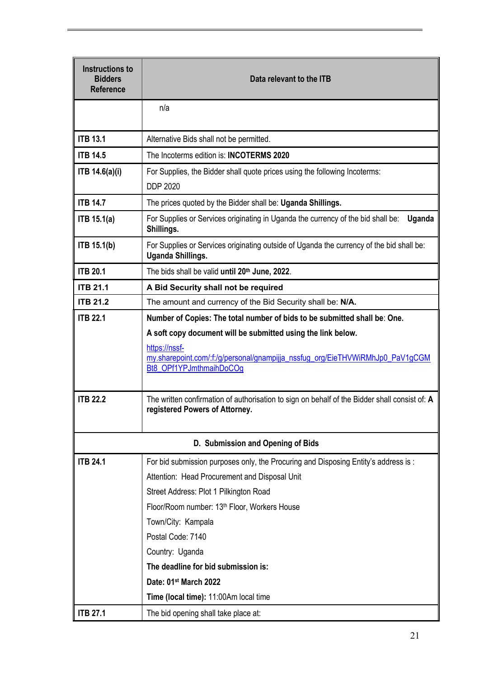| Instructions to<br><b>Bidders</b><br><b>Reference</b> | Data relevant to the ITB                                                                                                                                                                                                                                               |  |  |  |
|-------------------------------------------------------|------------------------------------------------------------------------------------------------------------------------------------------------------------------------------------------------------------------------------------------------------------------------|--|--|--|
|                                                       | n/a                                                                                                                                                                                                                                                                    |  |  |  |
| <b>ITB 13.1</b>                                       | Alternative Bids shall not be permitted.                                                                                                                                                                                                                               |  |  |  |
| <b>ITB 14.5</b>                                       | The Incoterms edition is: <b>INCOTERMS 2020</b>                                                                                                                                                                                                                        |  |  |  |
| ITB 14.6(a)(i)                                        | For Supplies, the Bidder shall quote prices using the following Incoterms:<br><b>DDP 2020</b>                                                                                                                                                                          |  |  |  |
| <b>ITB 14.7</b>                                       | The prices quoted by the Bidder shall be: Uganda Shillings.                                                                                                                                                                                                            |  |  |  |
| <b>ITB 15.1(a)</b>                                    | For Supplies or Services originating in Uganda the currency of the bid shall be:<br>Uganda<br>Shillings.                                                                                                                                                               |  |  |  |
| <b>ITB 15.1(b)</b>                                    | For Supplies or Services originating outside of Uganda the currency of the bid shall be:<br>Uganda Shillings.                                                                                                                                                          |  |  |  |
| <b>ITB 20.1</b>                                       | The bids shall be valid until 20th June, 2022.                                                                                                                                                                                                                         |  |  |  |
| <b>ITB 21.1</b>                                       | A Bid Security shall not be required                                                                                                                                                                                                                                   |  |  |  |
| <b>ITB 21.2</b>                                       | The amount and currency of the Bid Security shall be: N/A.                                                                                                                                                                                                             |  |  |  |
| <b>ITB 22.1</b>                                       | Number of Copies: The total number of bids to be submitted shall be: One.<br>A soft copy document will be submitted using the link below.<br>https://nssf-<br>my.sharepoint.com/:f:/g/personal/gnampijja_nssfug_org/EieTHVWiRMhJp0_PaV1gCGM<br>Bt8_OPf1YPJmthmaihDoCOg |  |  |  |
| <b>ITB 22.2</b>                                       | The written confirmation of authorisation to sign on behalf of the Bidder shall consist of: A<br>registered Powers of Attorney.                                                                                                                                        |  |  |  |
|                                                       | D. Submission and Opening of Bids                                                                                                                                                                                                                                      |  |  |  |
| <b>ITB 24.1</b>                                       | For bid submission purposes only, the Procuring and Disposing Entity's address is:<br>Attention: Head Procurement and Disposal Unit                                                                                                                                    |  |  |  |
|                                                       | Street Address: Plot 1 Pilkington Road                                                                                                                                                                                                                                 |  |  |  |
|                                                       | Floor/Room number: 13th Floor, Workers House                                                                                                                                                                                                                           |  |  |  |
|                                                       | Town/City: Kampala                                                                                                                                                                                                                                                     |  |  |  |
|                                                       | Postal Code: 7140                                                                                                                                                                                                                                                      |  |  |  |
|                                                       | Country: Uganda                                                                                                                                                                                                                                                        |  |  |  |
|                                                       | The deadline for bid submission is:                                                                                                                                                                                                                                    |  |  |  |
|                                                       | Date: 01st March 2022                                                                                                                                                                                                                                                  |  |  |  |
|                                                       | Time (local time): 11:00Am local time                                                                                                                                                                                                                                  |  |  |  |
| <b>ITB 27.1</b>                                       | The bid opening shall take place at:                                                                                                                                                                                                                                   |  |  |  |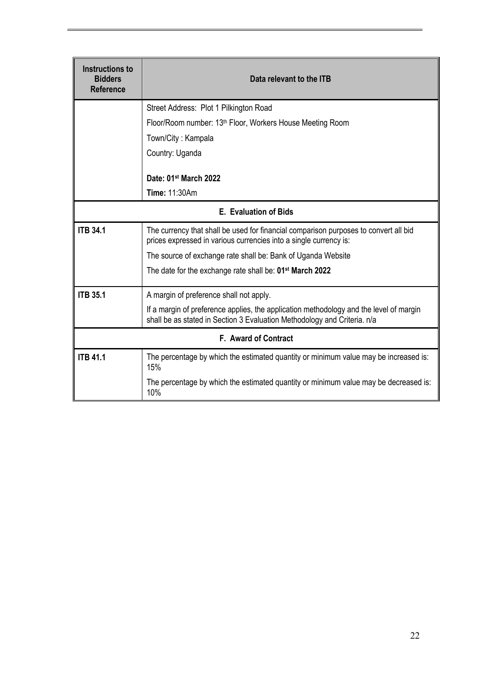| <b>Instructions to</b><br><b>Bidders</b><br><b>Reference</b> | Data relevant to the ITB                                                                                                                                           |  |  |  |  |
|--------------------------------------------------------------|--------------------------------------------------------------------------------------------------------------------------------------------------------------------|--|--|--|--|
|                                                              | Street Address: Plot 1 Pilkington Road                                                                                                                             |  |  |  |  |
|                                                              | Floor/Room number: 13th Floor, Workers House Meeting Room                                                                                                          |  |  |  |  |
|                                                              | Town/City: Kampala                                                                                                                                                 |  |  |  |  |
|                                                              | Country: Uganda                                                                                                                                                    |  |  |  |  |
|                                                              | Date: 01st March 2022                                                                                                                                              |  |  |  |  |
|                                                              | Time: 11:30Am                                                                                                                                                      |  |  |  |  |
|                                                              | <b>E.</b> Evaluation of Bids                                                                                                                                       |  |  |  |  |
| <b>ITB 34.1</b>                                              | The currency that shall be used for financial comparison purposes to convert all bid<br>prices expressed in various currencies into a single currency is:          |  |  |  |  |
|                                                              | The source of exchange rate shall be: Bank of Uganda Website                                                                                                       |  |  |  |  |
|                                                              | The date for the exchange rate shall be: 01 <sup>st</sup> March 2022                                                                                               |  |  |  |  |
| <b>ITB 35.1</b>                                              | A margin of preference shall not apply.                                                                                                                            |  |  |  |  |
|                                                              | If a margin of preference applies, the application methodology and the level of margin<br>shall be as stated in Section 3 Evaluation Methodology and Criteria. n/a |  |  |  |  |
|                                                              | F. Award of Contract                                                                                                                                               |  |  |  |  |
| <b>ITB 41.1</b>                                              | The percentage by which the estimated quantity or minimum value may be increased is:<br>15%                                                                        |  |  |  |  |
|                                                              | The percentage by which the estimated quantity or minimum value may be decreased is:<br>10%                                                                        |  |  |  |  |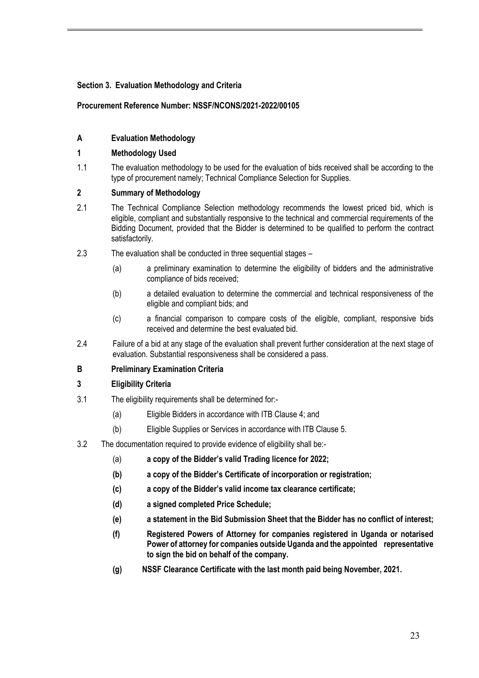# **Section 3. Evaluation Methodology and Criteria**

#### **Procurement Reference Number: NSSF/NCONS/2021-2022/00105**

# **A Evaluation Methodology**

#### **1 Methodology Used**

1.1 The evaluation methodology to be used for the evaluation of bids received shall be according to the type of procurement namely; Technical Compliance Selection for Supplies.

## **2 Summary of Methodology**

- 2.1 The Technical Compliance Selection methodology recommends the lowest priced bid, which is eligible, compliant and substantially responsive to the technical and commercial requirements of the Bidding Document, provided that the Bidder is determined to be qualified to perform the contract satisfactorily.
- 2.3 The evaluation shall be conducted in three sequential stages
	- (a) a preliminary examination to determine the eligibility of bidders and the administrative compliance of bids received;
	- (b) a detailed evaluation to determine the commercial and technical responsiveness of the eligible and compliant bids; and
	- (c) a financial comparison to compare costs of the eligible, compliant, responsive bids received and determine the best evaluated bid.
- 2.4 Failure of a bid at any stage of the evaluation shall prevent further consideration at the next stage of evaluation. Substantial responsiveness shall be considered a pass.

#### **B Preliminary Examination Criteria**

## **3 Eligibility Criteria**

- 3.1 The eligibility requirements shall be determined for:-
	- (a) Eligible Bidders in accordance with ITB Clause 4; and
	- (b) Eligible Supplies or Services in accordance with ITB Clause 5.
- 3.2 The documentation required to provide evidence of eligibility shall be:-
	- (a) **a copy of the Bidder's valid Trading licence for 2022;**
	- **(b) a copy of the Bidder's Certificate of incorporation or registration;**
	- **(c) a copy of the Bidder's valid income tax clearance certificate;**
	- **(d) a signed completed Price Schedule;**
	- **(e) a statement in the Bid Submission Sheet that the Bidder has no conflict of interest;**
	- **(f) Registered Powers of Attorney for companies registered in Uganda or notarised Power of attorney for companies outside Uganda and the appointed representative to sign the bid on behalf of the company.**
	- **(g) NSSF Clearance Certificate with the last month paid being November, 2021.**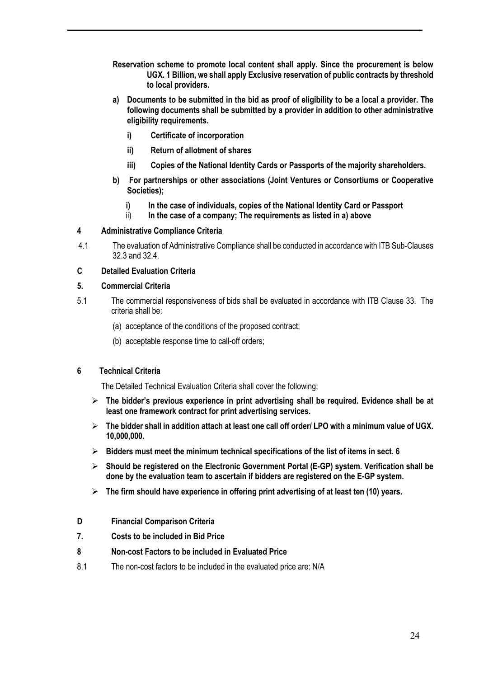- **Reservation scheme to promote local content shall apply. Since the procurement is below UGX. 1 Billion, we shall apply Exclusive reservation of public contracts by threshold to local providers.**
- **a) Documents to be submitted in the bid as proof of eligibility to be a local a provider. The following documents shall be submitted by a provider in addition to other administrative eligibility requirements.**
	- **i) Certificate of incorporation**
	- **ii) Return of allotment of shares**
	- **iii) Copies of the National Identity Cards or Passports of the majority shareholders.**
- **b) For partnerships or other associations (Joint Ventures or Consortiums or Cooperative Societies);**
	- **i) In the case of individuals, copies of the National Identity Card or Passport**
	- ii) **In the case of a company; The requirements as listed in a) above**

#### **4 Administrative Compliance Criteria**

4.1 The evaluation of Administrative Compliance shall be conducted in accordance with ITB Sub-Clauses 32.3 and 32.4.

#### **C Detailed Evaluation Criteria**

#### **5. Commercial Criteria**

- 5.1 The commercial responsiveness of bids shall be evaluated in accordance with ITB Clause 33. The criteria shall be:
	- (a) acceptance of the conditions of the proposed contract;
	- (b) acceptable response time to call-off orders;

#### **6 Technical Criteria**

The Detailed Technical Evaluation Criteria shall cover the following;

- Ø **The bidder's previous experience in print advertising shall be required. Evidence shall be at least one framework contract for print advertising services.**
- Ø **The bidder shall in addition attach at least one call off order/ LPO with a minimum value of UGX. 10,000,000.**
- Ø **Bidders must meet the minimum technical specifications of the list of items in sect. 6**
- Ø **Should be registered on the Electronic Government Portal (E-GP) system. Verification shall be done by the evaluation team to ascertain if bidders are registered on the E-GP system.**
- Ø **The firm should have experience in offering print advertising of at least ten (10) years.**
- **D Financial Comparison Criteria**
- **7. Costs to be included in Bid Price**
- **8 Non-cost Factors to be included in Evaluated Price**
- 8.1 The non-cost factors to be included in the evaluated price are: N/A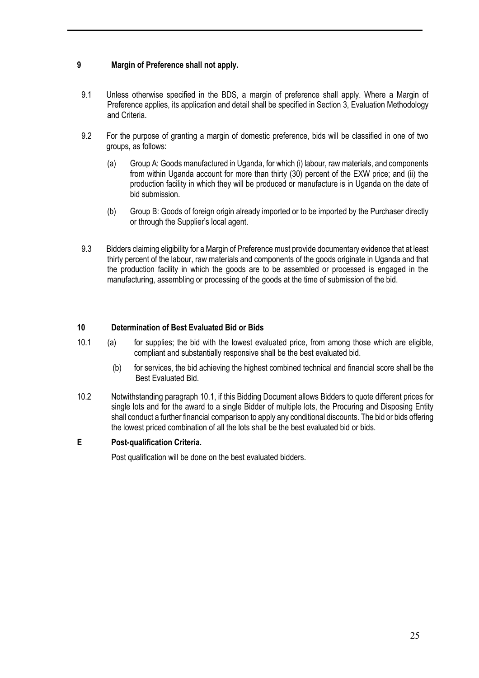# **9 Margin of Preference shall not apply.**

- 9.1 Unless otherwise specified in the BDS, a margin of preference shall apply. Where a Margin of Preference applies, its application and detail shall be specified in Section 3, Evaluation Methodology and Criteria.
- 9.2 For the purpose of granting a margin of domestic preference, bids will be classified in one of two groups, as follows:
	- (a) Group A: Goods manufactured in Uganda, for which (i) labour, raw materials, and components from within Uganda account for more than thirty (30) percent of the EXW price; and (ii) the production facility in which they will be produced or manufacture is in Uganda on the date of bid submission.
	- (b) Group B: Goods of foreign origin already imported or to be imported by the Purchaser directly or through the Supplier's local agent.
- 9.3 Bidders claiming eligibility for a Margin of Preference must provide documentary evidence that at least thirty percent of the labour, raw materials and components of the goods originate in Uganda and that the production facility in which the goods are to be assembled or processed is engaged in the manufacturing, assembling or processing of the goods at the time of submission of the bid.

#### **10 Determination of Best Evaluated Bid or Bids**

- 10.1 (a) for supplies; the bid with the lowest evaluated price, from among those which are eligible, compliant and substantially responsive shall be the best evaluated bid.
	- (b) for services, the bid achieving the highest combined technical and financial score shall be the Best Evaluated Bid.
- 10.2 Notwithstanding paragraph 10.1, if this Bidding Document allows Bidders to quote different prices for single lots and for the award to a single Bidder of multiple lots, the Procuring and Disposing Entity shall conduct a further financial comparison to apply any conditional discounts. The bid or bids offering the lowest priced combination of all the lots shall be the best evaluated bid or bids.

#### **E Post-qualification Criteria.**

Post qualification will be done on the best evaluated bidders.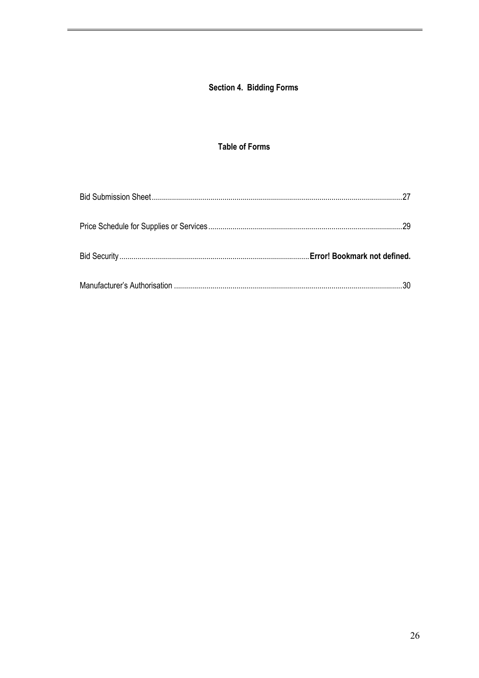# Section 4. Bidding Forms

# **Table of Forms**

| - 29                                |
|-------------------------------------|
| <b>Error! Bookmark not defined.</b> |
|                                     |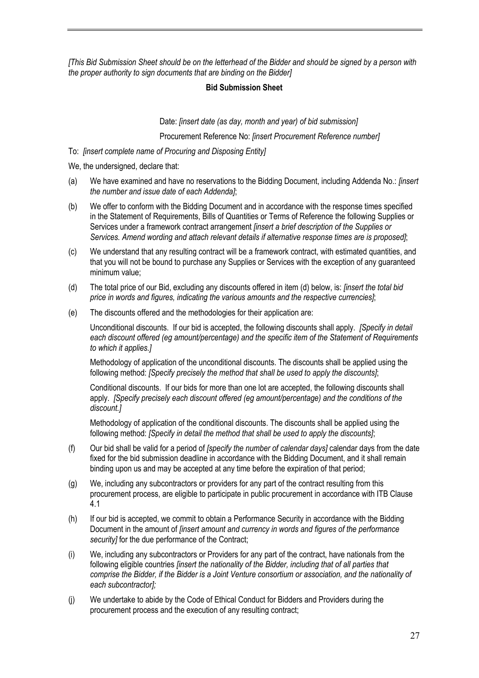*[This Bid Submission Sheet should be on the letterhead of the Bidder and should be signed by a person with the proper authority to sign documents that are binding on the Bidder]*

#### **Bid Submission Sheet**

Date: *[insert date (as day, month and year) of bid submission]*

Procurement Reference No: *[insert Procurement Reference number]*

To: *[insert complete name of Procuring and Disposing Entity]*

We, the undersigned, declare that:

- (a) We have examined and have no reservations to the Bidding Document, including Addenda No.: *[insert the number and issue date of each Addenda]*;
- (b) We offer to conform with the Bidding Document and in accordance with the response times specified in the Statement of Requirements, Bills of Quantities or Terms of Reference the following Supplies or Services under a framework contract arrangement *[insert a brief description of the Supplies or Services. Amend wording and attach relevant details if alternative response times are is proposed]*;
- (c) We understand that any resulting contract will be a framework contract, with estimated quantities, and that you will not be bound to purchase any Supplies or Services with the exception of any guaranteed minimum value;
- (d) The total price of our Bid, excluding any discounts offered in item (d) below, is: *[insert the total bid price in words and figures, indicating the various amounts and the respective currencies]*;
- (e) The discounts offered and the methodologies for their application are:

Unconditional discounts. If our bid is accepted, the following discounts shall apply. *[Specify in detail each discount offered (eg amount/percentage) and the specific item of the Statement of Requirements to which it applies.]*

Methodology of application of the unconditional discounts. The discounts shall be applied using the following method: *[Specify precisely the method that shall be used to apply the discounts]*;

Conditional discounts. If our bids for more than one lot are accepted, the following discounts shall apply. *[Specify precisely each discount offered (eg amount/percentage) and the conditions of the discount.]*

Methodology of application of the conditional discounts. The discounts shall be applied using the following method: *[Specify in detail the method that shall be used to apply the discounts]*;

- (f) Our bid shall be valid for a period of *[specify the number of calendar days]* calendar days from the date fixed for the bid submission deadline in accordance with the Bidding Document, and it shall remain binding upon us and may be accepted at any time before the expiration of that period;
- (g) We, including any subcontractors or providers for any part of the contract resulting from this procurement process, are eligible to participate in public procurement in accordance with ITB Clause 4.1
- (h) If our bid is accepted, we commit to obtain a Performance Security in accordance with the Bidding Document in the amount of *[insert amount and currency in words and figures of the performance security]* for the due performance of the Contract;
- (i) We, including any subcontractors or Providers for any part of the contract, have nationals from the following eligible countries *[insert the nationality of the Bidder, including that of all parties that comprise the Bidder, if the Bidder is a Joint Venture consortium or association, and the nationality of each subcontractor];*
- (j) We undertake to abide by the Code of Ethical Conduct for Bidders and Providers during the procurement process and the execution of any resulting contract;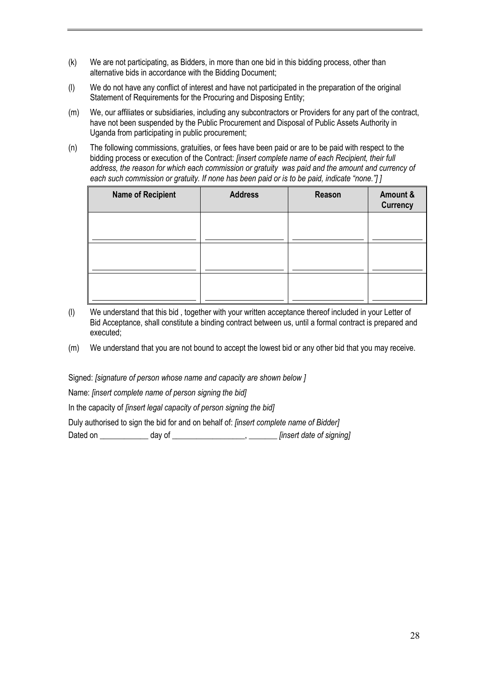- (k) We are not participating, as Bidders, in more than one bid in this bidding process, other than alternative bids in accordance with the Bidding Document;
- (l) We do not have any conflict of interest and have not participated in the preparation of the original Statement of Requirements for the Procuring and Disposing Entity;
- (m) We, our affiliates or subsidiaries, including any subcontractors or Providers for any part of the contract, have not been suspended by the Public Procurement and Disposal of Public Assets Authority in Uganda from participating in public procurement;
- (n) The following commissions, gratuities, or fees have been paid or are to be paid with respect to the bidding process or execution of the Contract: *[insert complete name of each Recipient, their full address, the reason for which each commission or gratuity was paid and the amount and currency of each such commission or gratuity. If none has been paid or is to be paid, indicate "none."] ]*

| <b>Name of Recipient</b> | <b>Address</b> | Reason | Amount &<br><b>Currency</b> |
|--------------------------|----------------|--------|-----------------------------|
|                          |                |        |                             |
|                          |                |        |                             |
|                          |                |        |                             |

- (l) We understand that this bid , together with your written acceptance thereof included in your Letter of Bid Acceptance, shall constitute a binding contract between us, until a formal contract is prepared and executed;
- (m) We understand that you are not bound to accept the lowest bid or any other bid that you may receive.

Signed: *[signature of person whose name and capacity are shown below ]*

Name: *[insert complete name of person signing the bid]*

In the capacity of *[insert legal capacity of person signing the bid]* 

Duly authorised to sign the bid for and on behalf of: *[insert complete name of Bidder]*

Dated on \_\_\_\_\_\_\_\_\_\_\_\_ day of \_\_\_\_\_\_\_\_\_\_\_\_\_\_\_\_\_\_, \_\_\_\_\_\_\_ *[insert date of signing]*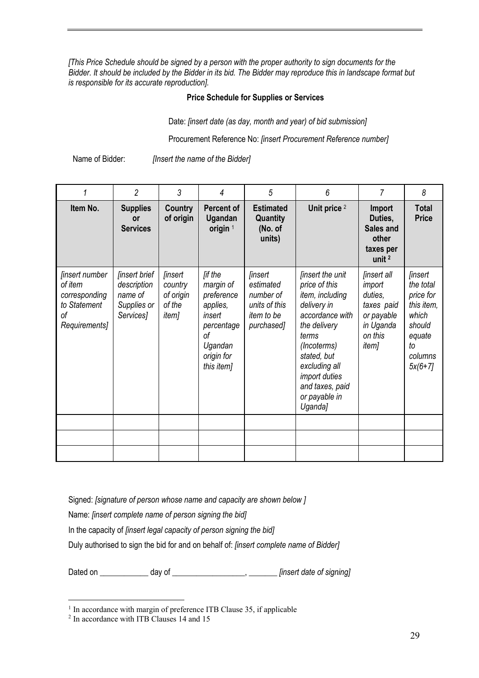*[This Price Schedule should be signed by a person with the proper authority to sign documents for the Bidder. It should be included by the Bidder in its bid. The Bidder may reproduce this in landscape format but is responsible for its accurate reproduction].*

# **Price Schedule for Supplies or Services**

Date: *[insert date (as day, month and year) of bid submission]*

Procurement Reference No: *[insert Procurement Reference number]*

Name of Bidder: *[Insert the name of the Bidder]*

| 1                                                                                        | $\overline{2}$                                                             | 3                                                                       | 4                                                                                                                          | 5                                                                                            | 6                                                                                                                                                                                                                                     | $\overline{7}$                                                                                              | 8                                                                                                                        |
|------------------------------------------------------------------------------------------|----------------------------------------------------------------------------|-------------------------------------------------------------------------|----------------------------------------------------------------------------------------------------------------------------|----------------------------------------------------------------------------------------------|---------------------------------------------------------------------------------------------------------------------------------------------------------------------------------------------------------------------------------------|-------------------------------------------------------------------------------------------------------------|--------------------------------------------------------------------------------------------------------------------------|
| Item No.                                                                                 | <b>Supplies</b><br><b>or</b><br><b>Services</b>                            | Country<br>of origin                                                    | <b>Percent of</b><br>Ugandan<br>origin $1$                                                                                 | <b>Estimated</b><br>Quantity<br>(No. of<br>units)                                            | Unit price <sup>2</sup>                                                                                                                                                                                                               | <b>Import</b><br>Duties,<br>Sales and<br>other<br>taxes per<br>unit $2$                                     | <b>Total</b><br><b>Price</b>                                                                                             |
| <i>linsert number</i><br>of item<br>corresponding<br>to Statement<br>οf<br>Requirements] | <i>linsert brief</i><br>description<br>name of<br>Supplies or<br>Services] | <i><b>finsert</b></i><br>country<br>of origin<br>of the<br><i>item]</i> | <i>lif the</i><br>margin of<br>preference<br>applies,<br>insert<br>percentage<br>οf<br>Ugandan<br>origin for<br>this item] | <i>linsert</i><br>estimated<br>number of<br>units of this<br><i>item to be</i><br>purchased] | <i>linsert the unit</i><br>price of this<br>item, including<br>delivery in<br>accordance with<br>the delivery<br>terms<br>(Incoterms)<br>stated, but<br>excluding all<br>import duties<br>and taxes, paid<br>or payable in<br>Uganda] | <i>finsert all</i><br>import<br>duties,<br>taxes paid<br>or payable<br>in Uganda<br>on this<br><i>item]</i> | <i><b>finsert</b></i><br>the total<br>price for<br>this item,<br>which<br>should<br>equate<br>tο<br>columns<br>$5x(6+7)$ |
|                                                                                          |                                                                            |                                                                         |                                                                                                                            |                                                                                              |                                                                                                                                                                                                                                       |                                                                                                             |                                                                                                                          |
|                                                                                          |                                                                            |                                                                         |                                                                                                                            |                                                                                              |                                                                                                                                                                                                                                       |                                                                                                             |                                                                                                                          |
|                                                                                          |                                                                            |                                                                         |                                                                                                                            |                                                                                              |                                                                                                                                                                                                                                       |                                                                                                             |                                                                                                                          |

Signed: *[signature of person whose name and capacity are shown below ]*

Name: *[insert complete name of person signing the bid]*

In the capacity of *[insert legal capacity of person signing the bid]* 

Duly authorised to sign the bid for and on behalf of: *[insert complete name of Bidder]*

Dated on \_\_\_\_\_\_\_\_\_\_\_\_ day of \_\_\_\_\_\_\_\_\_\_\_\_\_\_\_\_\_\_, \_\_\_\_\_\_\_ *[insert date of signing]*

<sup>&</sup>lt;sup>1</sup> In accordance with margin of preference ITB Clause 35, if applicable

<sup>&</sup>lt;sup>2</sup> In accordance with ITB Clauses 14 and 15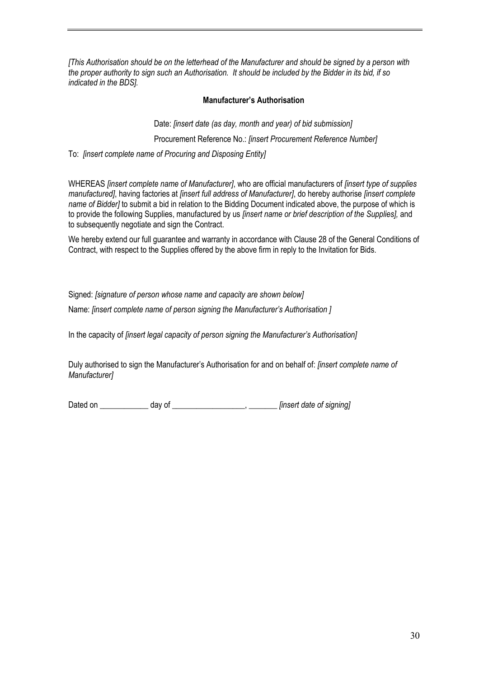*[This Authorisation should be on the letterhead of the Manufacturer and should be signed by a person with the proper authority to sign such an Authorisation. It should be included by the Bidder in its bid, if so indicated in the BDS].*

#### **Manufacturer's Authorisation**

Date: *[insert date (as day, month and year) of bid submission]*

Procurement Reference No.: *[insert Procurement Reference Number]*

To: *[insert complete name of Procuring and Disposing Entity]*

WHEREAS *[insert complete name of Manufacturer]*, who are official manufacturers of *[insert type of supplies manufactured]*, having factories at *[insert full address of Manufacturer]*, do hereby authorise *[insert complete name of Bidder]* to submit a bid in relation to the Bidding Document indicated above, the purpose of which is to provide the following Supplies, manufactured by us *[insert name or brief description of the Supplies],* and to subsequently negotiate and sign the Contract.

We hereby extend our full guarantee and warranty in accordance with Clause 28 of the General Conditions of Contract, with respect to the Supplies offered by the above firm in reply to the Invitation for Bids.

Signed: *[signature of person whose name and capacity are shown below]*

Name: *[insert complete name of person signing the Manufacturer's Authorisation ]*

In the capacity of *[insert legal capacity of person signing the Manufacturer's Authorisation]* 

Duly authorised to sign the Manufacturer's Authorisation for and on behalf of: *[insert complete name of Manufacturer]*

Dated on \_\_\_\_\_\_\_\_\_\_\_\_ day of \_\_\_\_\_\_\_\_\_\_\_\_\_\_\_\_\_\_, \_\_\_\_\_\_\_ *[insert date of signing]*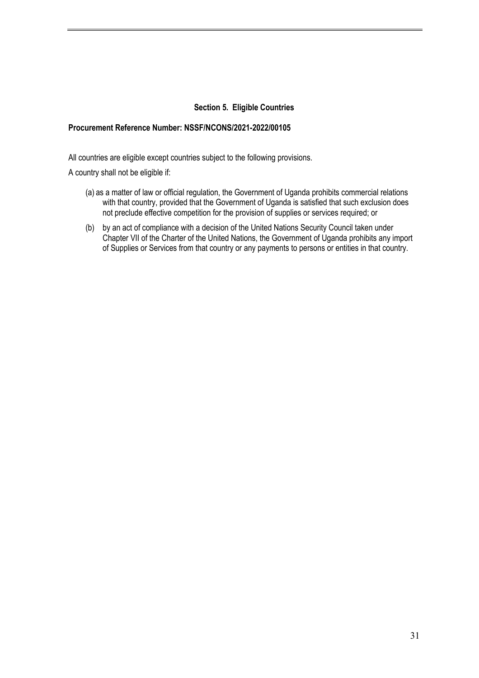#### **Section 5. Eligible Countries**

#### **Procurement Reference Number: NSSF/NCONS/2021-2022/00105**

All countries are eligible except countries subject to the following provisions.

A country shall not be eligible if:

- (a) as a matter of law or official regulation, the Government of Uganda prohibits commercial relations with that country, provided that the Government of Uganda is satisfied that such exclusion does not preclude effective competition for the provision of supplies or services required; or
- (b) by an act of compliance with a decision of the United Nations Security Council taken under Chapter VII of the Charter of the United Nations, the Government of Uganda prohibits any import of Supplies or Services from that country or any payments to persons or entities in that country.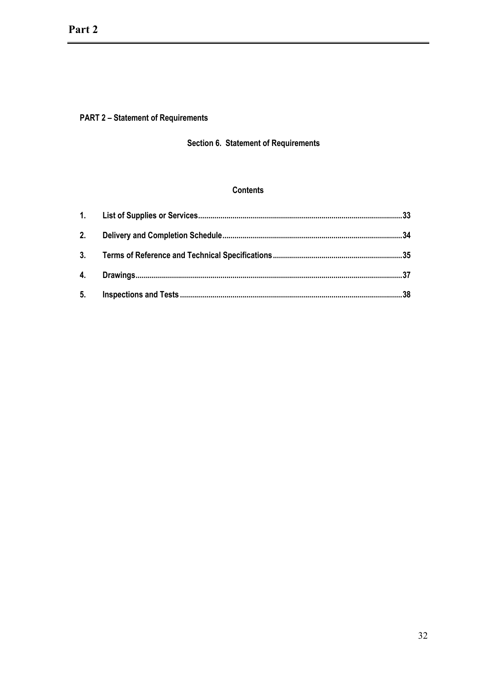# **PART 2 - Statement of Requirements**

# Section 6. Statement of Requirements

# **Contents**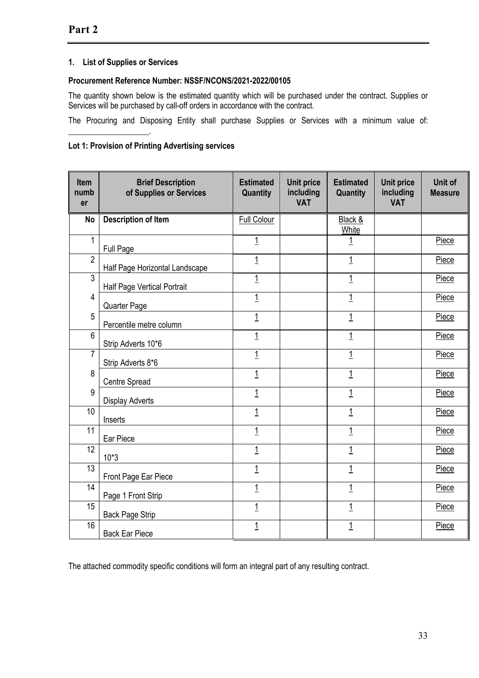# **1. List of Supplies or Services**

\_\_\_\_\_\_\_\_\_\_\_\_\_\_\_\_\_\_\_\_.

#### **Procurement Reference Number: NSSF/NCONS/2021-2022/00105**

The quantity shown below is the estimated quantity which will be purchased under the contract. Supplies or Services will be purchased by call-off orders in accordance with the contract.

The Procuring and Disposing Entity shall purchase Supplies or Services with a minimum value of:

#### **Lot 1: Provision of Printing Advertising services**

| <b>Item</b><br>numb<br>er | <b>Brief Description</b><br>of Supplies or Services | <b>Estimated</b><br>Quantity | <b>Unit price</b><br>including<br><b>VAT</b> | <b>Estimated</b><br>Quantity | <b>Unit price</b><br>including<br><b>VAT</b> | Unit of<br><b>Measure</b> |
|---------------------------|-----------------------------------------------------|------------------------------|----------------------------------------------|------------------------------|----------------------------------------------|---------------------------|
| <b>No</b>                 | <b>Description of Item</b>                          | <b>Full Colour</b>           |                                              | Black &<br>White             |                                              |                           |
| $\mathbf{1}$              | Full Page                                           | $\overline{1}$               |                                              | $\overline{1}$               |                                              | Piece                     |
| $\overline{2}$            | Half Page Horizontal Landscape                      | $\overline{1}$               |                                              | $\overline{1}$               |                                              | Piece                     |
| 3                         | <b>Half Page Vertical Portrait</b>                  | $\overline{1}$               |                                              | $\overline{1}$               |                                              | Piece                     |
| $\overline{4}$            | Quarter Page                                        | 1                            |                                              | $\mathbf 1$                  |                                              | Piece                     |
| 5                         | Percentile metre column                             | $\overline{1}$               |                                              | 1                            |                                              | Piece                     |
| $6\phantom{1}$            | Strip Adverts 10*6                                  | $\overline{1}$               |                                              | $\overline{1}$               |                                              | Piece                     |
| $\overline{7}$            | Strip Adverts 8*6                                   | $\overline{1}$               |                                              | $\overline{1}$               |                                              | Piece                     |
| 8                         | Centre Spread                                       | $\overline{1}$               |                                              | 1                            |                                              | Piece                     |
| 9                         | <b>Display Adverts</b>                              | $\overline{1}$               |                                              | $\overline{1}$               |                                              | Piece                     |
| 10                        | Inserts                                             | 1                            |                                              | $\mathbf 1$                  |                                              | Piece                     |
| 11                        | Ear Piece                                           | $\overline{1}$               |                                              | $\overline{1}$               |                                              | Piece                     |
| 12                        | $10*3$                                              | $\overline{1}$               |                                              | $\overline{1}$               |                                              | Piece                     |
| 13                        | Front Page Ear Piece                                | $\overline{1}$               |                                              | 1                            |                                              | Piece                     |
| 14                        | Page 1 Front Strip                                  | $\overline{1}$               |                                              | 1                            |                                              | Piece                     |
| 15                        | <b>Back Page Strip</b>                              | $\overline{1}$               |                                              | $\overline{1}$               |                                              | Piece                     |
| 16                        | <b>Back Ear Piece</b>                               | $\overline{1}$               |                                              | $\overline{1}$               |                                              | Piece                     |

The attached commodity specific conditions will form an integral part of any resulting contract.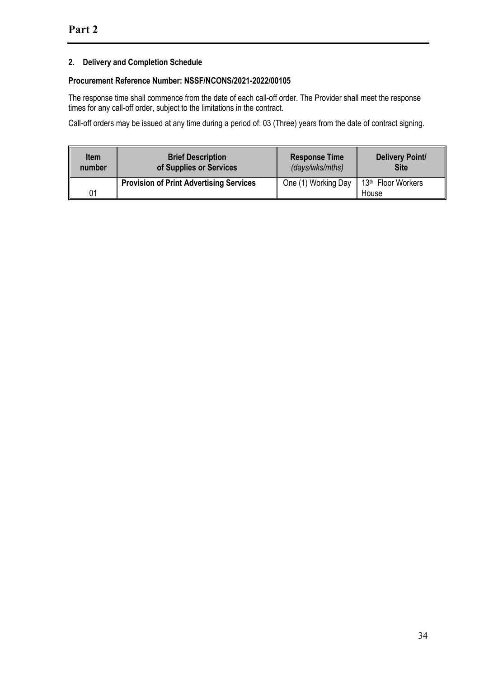# **2. Delivery and Completion Schedule**

# **Procurement Reference Number: NSSF/NCONS/2021-2022/00105**

The response time shall commence from the date of each call-off order. The Provider shall meet the response times for any call-off order, subject to the limitations in the contract.

Call-off orders may be issued at any time during a period of: 03 (Three) years from the date of contract signing.

| <b>Item</b> | <b>Brief Description</b>                       | <b>Response Time</b> | Delivery Point/                         |
|-------------|------------------------------------------------|----------------------|-----------------------------------------|
| number      | of Supplies or Services                        | (days/wks/mths)      | <b>Site</b>                             |
| 01          | <b>Provision of Print Advertising Services</b> | One (1) Working Day  | 13 <sup>th</sup> Floor Workers<br>House |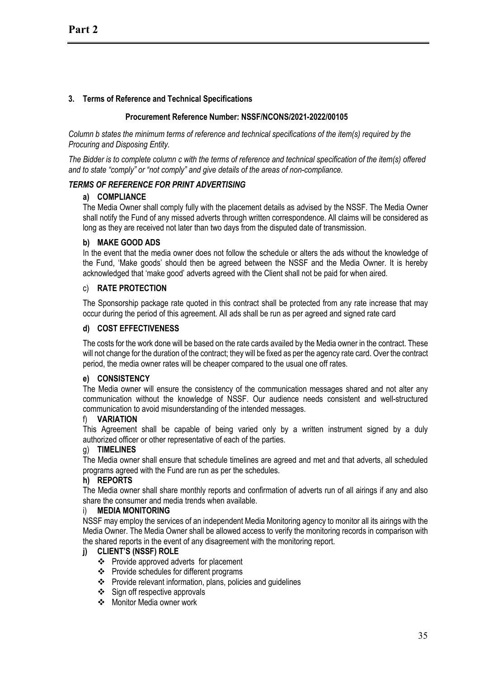# **3. Terms of Reference and Technical Specifications**

#### **Procurement Reference Number: NSSF/NCONS/2021-2022/00105**

*Column b states the minimum terms of reference and technical specifications of the item(s) required by the Procuring and Disposing Entity.*

*The Bidder is to complete column c with the terms of reference and technical specification of the item(s) offered and to state "comply" or "not comply" and give details of the areas of non-compliance.*

#### *TERMS OF REFERENCE FOR PRINT ADVERTISING*

#### **a) COMPLIANCE**

The Media Owner shall comply fully with the placement details as advised by the NSSF. The Media Owner shall notify the Fund of any missed adverts through written correspondence. All claims will be considered as long as they are received not later than two days from the disputed date of transmission.

#### **b) MAKE GOOD ADS**

In the event that the media owner does not follow the schedule or alters the ads without the knowledge of the Fund, 'Make goods' should then be agreed between the NSSF and the Media Owner. It is hereby acknowledged that 'make good' adverts agreed with the Client shall not be paid for when aired.

#### c) **RATE PROTECTION**

The Sponsorship package rate quoted in this contract shall be protected from any rate increase that may occur during the period of this agreement. All ads shall be run as per agreed and signed rate card

#### **d) COST EFFECTIVENESS**

The costs for the work done will be based on the rate cards availed by the Media owner in the contract. These will not change for the duration of the contract; they will be fixed as per the agency rate card. Over the contract period, the media owner rates will be cheaper compared to the usual one off rates.

#### **e) CONSISTENCY**

The Media owner will ensure the consistency of the communication messages shared and not alter any communication without the knowledge of NSSF. Our audience needs consistent and well-structured communication to avoid misunderstanding of the intended messages.

#### f) **VARIATION**

This Agreement shall be capable of being varied only by a written instrument signed by a duly authorized officer or other representative of each of the parties.

#### g) **TIMELINES**

The Media owner shall ensure that schedule timelines are agreed and met and that adverts, all scheduled programs agreed with the Fund are run as per the schedules.

#### **h) REPORTS**

The Media owner shall share monthly reports and confirmation of adverts run of all airings if any and also share the consumer and media trends when available.

#### i) **MEDIA MONITORING**

NSSF may employ the services of an independent Media Monitoring agency to monitor all its airings with the Media Owner. The Media Owner shall be allowed access to verify the monitoring records in comparison with the shared reports in the event of any disagreement with the monitoring report.

#### **j) CLIENT'S (NSSF) ROLE**

- v Provide approved adverts for placement
- v Provide schedules for different programs
- $\cdot \cdot$  Provide relevant information, plans, policies and guidelines
- $\div$  Sign off respective approvals
- ❖ Monitor Media owner work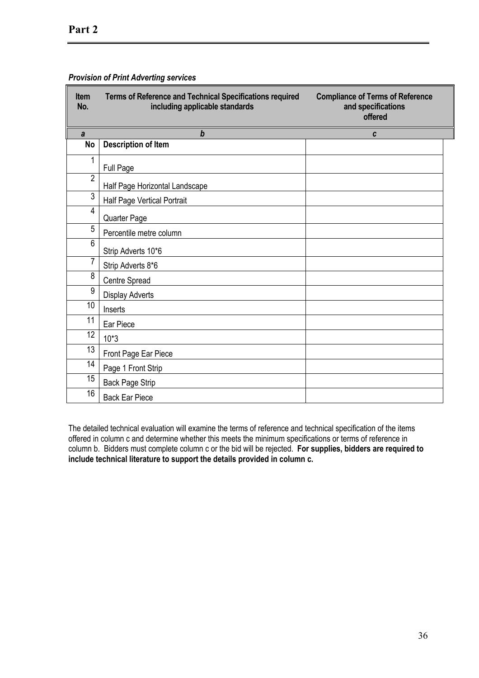| <b>Item</b><br>No. | Terms of Reference and Technical Specifications required<br>including applicable standards | <b>Compliance of Terms of Reference</b><br>and specifications<br>offered |
|--------------------|--------------------------------------------------------------------------------------------|--------------------------------------------------------------------------|
| $\mathbf{a}$       | $\boldsymbol{b}$                                                                           | C                                                                        |
| <b>No</b>          | <b>Description of Item</b>                                                                 |                                                                          |
| 1                  | Full Page                                                                                  |                                                                          |
| $\overline{2}$     | Half Page Horizontal Landscape                                                             |                                                                          |
| $\overline{3}$     | Half Page Vertical Portrait                                                                |                                                                          |
| $\overline{4}$     | Quarter Page                                                                               |                                                                          |
| 5                  | Percentile metre column                                                                    |                                                                          |
| $6\phantom{1}$     | Strip Adverts 10*6                                                                         |                                                                          |
| 7                  | Strip Adverts 8*6                                                                          |                                                                          |
| 8                  | Centre Spread                                                                              |                                                                          |
| 9                  | <b>Display Adverts</b>                                                                     |                                                                          |
| 10                 | Inserts                                                                                    |                                                                          |
| 11                 | Ear Piece                                                                                  |                                                                          |
| 12                 | $10*3$                                                                                     |                                                                          |
| 13                 | Front Page Ear Piece                                                                       |                                                                          |
| 14                 | Page 1 Front Strip                                                                         |                                                                          |
| 15                 | <b>Back Page Strip</b>                                                                     |                                                                          |
| 16                 | <b>Back Ear Piece</b>                                                                      |                                                                          |

#### *Provision of Print Adverting services*

The detailed technical evaluation will examine the terms of reference and technical specification of the items offered in column c and determine whether this meets the minimum specifications or terms of reference in column b. Bidders must complete column c or the bid will be rejected. **For supplies, bidders are required to include technical literature to support the details provided in column c.**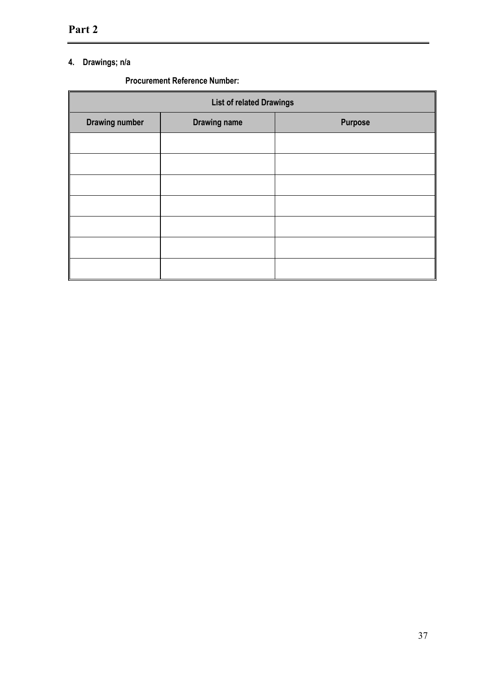# **4. Drawings; n/a**

# **Procurement Reference Number:**

| <b>List of related Drawings</b> |                     |                |  |  |  |
|---------------------------------|---------------------|----------------|--|--|--|
| <b>Drawing number</b>           | <b>Drawing name</b> | <b>Purpose</b> |  |  |  |
|                                 |                     |                |  |  |  |
|                                 |                     |                |  |  |  |
|                                 |                     |                |  |  |  |
|                                 |                     |                |  |  |  |
|                                 |                     |                |  |  |  |
|                                 |                     |                |  |  |  |
|                                 |                     |                |  |  |  |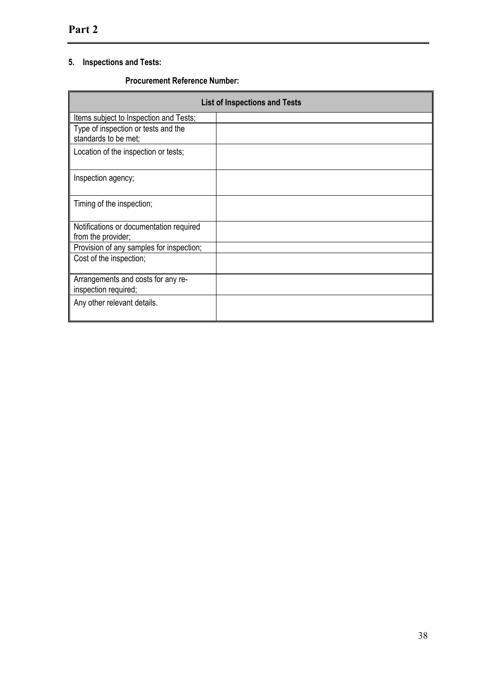# **5. Inspections and Tests:**

## **Procurement Reference Number:**

|                                                               | <b>List of Inspections and Tests</b> |
|---------------------------------------------------------------|--------------------------------------|
| Items subject to Inspection and Tests;                        |                                      |
| Type of inspection or tests and the<br>standards to be met;   |                                      |
| Location of the inspection or tests;                          |                                      |
| Inspection agency;                                            |                                      |
| Timing of the inspection;                                     |                                      |
| Notifications or documentation required<br>from the provider; |                                      |
| Provision of any samples for inspection;                      |                                      |
| Cost of the inspection;                                       |                                      |
| Arrangements and costs for any re-<br>inspection required;    |                                      |
| Any other relevant details.                                   |                                      |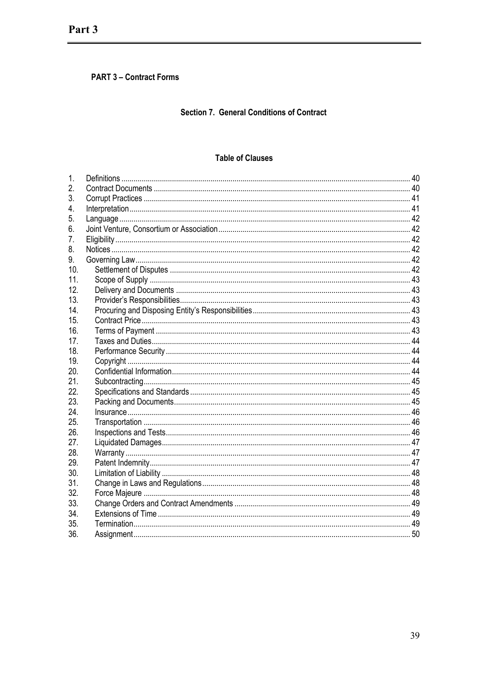# **PART 3 - Contract Forms**

# Section 7. General Conditions of Contract

# **Table of Clauses**

| 1.  |  |
|-----|--|
| 2.  |  |
| 3.  |  |
| 4.  |  |
| 5.  |  |
| 6.  |  |
| 7.  |  |
| 8.  |  |
| 9.  |  |
| 10. |  |
| 11. |  |
| 12. |  |
| 13. |  |
| 14. |  |
| 15. |  |
| 16. |  |
| 17. |  |
| 18. |  |
| 19. |  |
| 20. |  |
| 21. |  |
| 22. |  |
| 23. |  |
| 24. |  |
| 25. |  |
| 26. |  |
| 27. |  |
| 28. |  |
| 29. |  |
| 30. |  |
| 31. |  |
| 32. |  |
| 33. |  |
| 34. |  |
| 35. |  |
| 36. |  |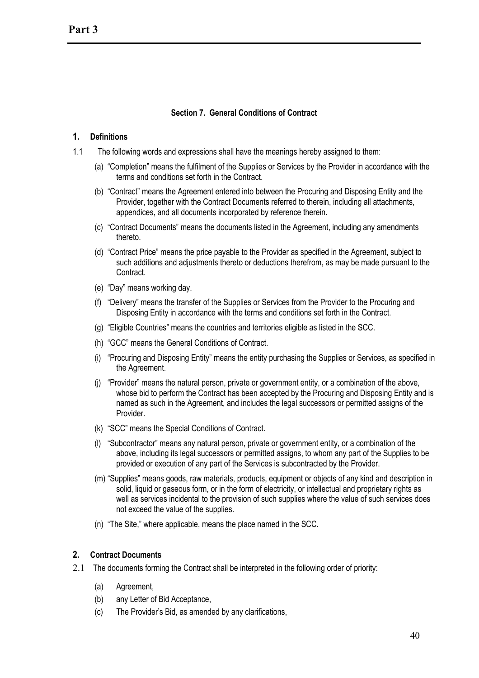# **Section 7. General Conditions of Contract**

#### **1. Definitions**

- 1.1 The following words and expressions shall have the meanings hereby assigned to them:
	- (a) "Completion" means the fulfilment of the Supplies or Services by the Provider in accordance with the terms and conditions set forth in the Contract.
	- (b) "Contract" means the Agreement entered into between the Procuring and Disposing Entity and the Provider, together with the Contract Documents referred to therein, including all attachments, appendices, and all documents incorporated by reference therein.
	- (c) "Contract Documents" means the documents listed in the Agreement, including any amendments thereto.
	- (d) "Contract Price" means the price payable to the Provider as specified in the Agreement, subject to such additions and adjustments thereto or deductions therefrom, as may be made pursuant to the **Contract.**
	- (e) "Day" means working day.
	- (f) "Delivery" means the transfer of the Supplies or Services from the Provider to the Procuring and Disposing Entity in accordance with the terms and conditions set forth in the Contract.
	- (g) "Eligible Countries" means the countries and territories eligible as listed in the SCC.
	- (h) "GCC" means the General Conditions of Contract.
	- (i) "Procuring and Disposing Entity" means the entity purchasing the Supplies or Services, as specified in the Agreement.
	- (j) "Provider" means the natural person, private or government entity, or a combination of the above, whose bid to perform the Contract has been accepted by the Procuring and Disposing Entity and is named as such in the Agreement, and includes the legal successors or permitted assigns of the **Provider**
	- (k) "SCC" means the Special Conditions of Contract.
	- (l) "Subcontractor" means any natural person, private or government entity, or a combination of the above, including its legal successors or permitted assigns, to whom any part of the Supplies to be provided or execution of any part of the Services is subcontracted by the Provider.
	- (m) "Supplies" means goods, raw materials, products, equipment or objects of any kind and description in solid, liquid or gaseous form, or in the form of electricity, or intellectual and proprietary rights as well as services incidental to the provision of such supplies where the value of such services does not exceed the value of the supplies.
	- (n) "The Site," where applicable, means the place named in the SCC.

#### **2. Contract Documents**

- 2.1 The documents forming the Contract shall be interpreted in the following order of priority:
	- (a) Agreement,
	- (b) any Letter of Bid Acceptance,
	- (c) The Provider's Bid, as amended by any clarifications,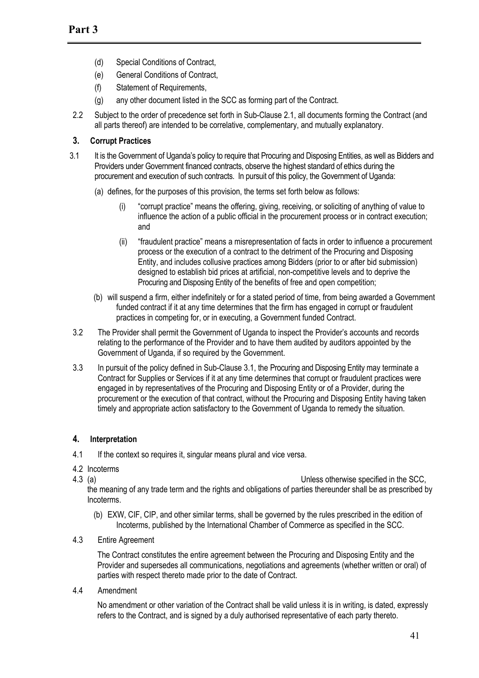- (d) Special Conditions of Contract,
- (e) General Conditions of Contract,
- (f) Statement of Requirements,
- (g) any other document listed in the SCC as forming part of the Contract.
- 2.2 Subject to the order of precedence set forth in Sub-Clause 2.1, all documents forming the Contract (and all parts thereof) are intended to be correlative, complementary, and mutually explanatory.

# **3. Corrupt Practices**

- 3.1 It is the Government of Uganda's policy to require that Procuring and Disposing Entities, as well as Bidders and Providers under Government financed contracts, observe the highest standard of ethics during the procurement and execution of such contracts. In pursuit of this policy, the Government of Uganda:
	- (a) defines, for the purposes of this provision, the terms set forth below as follows:
		- (i) "corrupt practice" means the offering, giving, receiving, or soliciting of anything of value to influence the action of a public official in the procurement process or in contract execution; and
		- (ii) "fraudulent practice" means a misrepresentation of facts in order to influence a procurement process or the execution of a contract to the detriment of the Procuring and Disposing Entity, and includes collusive practices among Bidders (prior to or after bid submission) designed to establish bid prices at artificial, non-competitive levels and to deprive the Procuring and Disposing Entity of the benefits of free and open competition;
	- (b) will suspend a firm, either indefinitely or for a stated period of time, from being awarded a Government funded contract if it at any time determines that the firm has engaged in corrupt or fraudulent practices in competing for, or in executing, a Government funded Contract.
- 3.2 The Provider shall permit the Government of Uganda to inspect the Provider's accounts and records relating to the performance of the Provider and to have them audited by auditors appointed by the Government of Uganda, if so required by the Government.
- 3.3 In pursuit of the policy defined in Sub-Clause 3.1, the Procuring and Disposing Entity may terminate a Contract for Supplies or Services if it at any time determines that corrupt or fraudulent practices were engaged in by representatives of the Procuring and Disposing Entity or of a Provider, during the procurement or the execution of that contract, without the Procuring and Disposing Entity having taken timely and appropriate action satisfactory to the Government of Uganda to remedy the situation.

# **4. Interpretation**

4.1 If the context so requires it, singular means plural and vice versa.

# 4.2 Incoterms

4.3 (a) Unless otherwise specified in the SCC,

the meaning of any trade term and the rights and obligations of parties thereunder shall be as prescribed by Incoterms.

- (b) EXW, CIF, CIP, and other similar terms, shall be governed by the rules prescribed in the edition of Incoterms, published by the International Chamber of Commerce as specified in the SCC.
- 4.3 Entire Agreement

The Contract constitutes the entire agreement between the Procuring and Disposing Entity and the Provider and supersedes all communications, negotiations and agreements (whether written or oral) of parties with respect thereto made prior to the date of Contract.

4.4 Amendment

No amendment or other variation of the Contract shall be valid unless it is in writing, is dated, expressly refers to the Contract, and is signed by a duly authorised representative of each party thereto.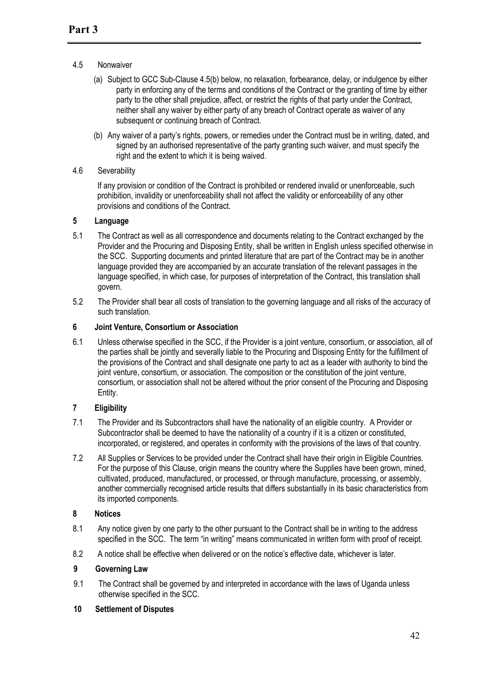# 4.5 Nonwaiver

- (a) Subject to GCC Sub-Clause 4.5(b) below, no relaxation, forbearance, delay, or indulgence by either party in enforcing any of the terms and conditions of the Contract or the granting of time by either party to the other shall prejudice, affect, or restrict the rights of that party under the Contract, neither shall any waiver by either party of any breach of Contract operate as waiver of any subsequent or continuing breach of Contract.
- (b) Any waiver of a party's rights, powers, or remedies under the Contract must be in writing, dated, and signed by an authorised representative of the party granting such waiver, and must specify the right and the extent to which it is being waived.

## 4.6 Severability

If any provision or condition of the Contract is prohibited or rendered invalid or unenforceable, such prohibition, invalidity or unenforceability shall not affect the validity or enforceability of any other provisions and conditions of the Contract.

# **5 Language**

- 5.1 The Contract as well as all correspondence and documents relating to the Contract exchanged by the Provider and the Procuring and Disposing Entity, shall be written in English unless specified otherwise in the SCC. Supporting documents and printed literature that are part of the Contract may be in another language provided they are accompanied by an accurate translation of the relevant passages in the language specified, in which case, for purposes of interpretation of the Contract, this translation shall govern.
- 5.2 The Provider shall bear all costs of translation to the governing language and all risks of the accuracy of such translation.

# **6 Joint Venture, Consortium or Association**

6.1 Unless otherwise specified in the SCC, if the Provider is a joint venture, consortium, or association, all of the parties shall be jointly and severally liable to the Procuring and Disposing Entity for the fulfillment of the provisions of the Contract and shall designate one party to act as a leader with authority to bind the joint venture, consortium, or association. The composition or the constitution of the joint venture, consortium, or association shall not be altered without the prior consent of the Procuring and Disposing Entity.

# **7 Eligibility**

- 7.1 The Provider and its Subcontractors shall have the nationality of an eligible country. A Provider or Subcontractor shall be deemed to have the nationality of a country if it is a citizen or constituted, incorporated, or registered, and operates in conformity with the provisions of the laws of that country.
- 7.2 All Supplies or Services to be provided under the Contract shall have their origin in Eligible Countries. For the purpose of this Clause, origin means the country where the Supplies have been grown, mined, cultivated, produced, manufactured, or processed, or through manufacture, processing, or assembly, another commercially recognised article results that differs substantially in its basic characteristics from its imported components.

#### **8 Notices**

- 8.1 Any notice given by one party to the other pursuant to the Contract shall be in writing to the address specified in the SCC. The term "in writing" means communicated in written form with proof of receipt.
- 8.2 A notice shall be effective when delivered or on the notice's effective date, whichever is later.

# **9 Governing Law**

9.1 The Contract shall be governed by and interpreted in accordance with the laws of Uganda unless otherwise specified in the SCC.

#### **10 Settlement of Disputes**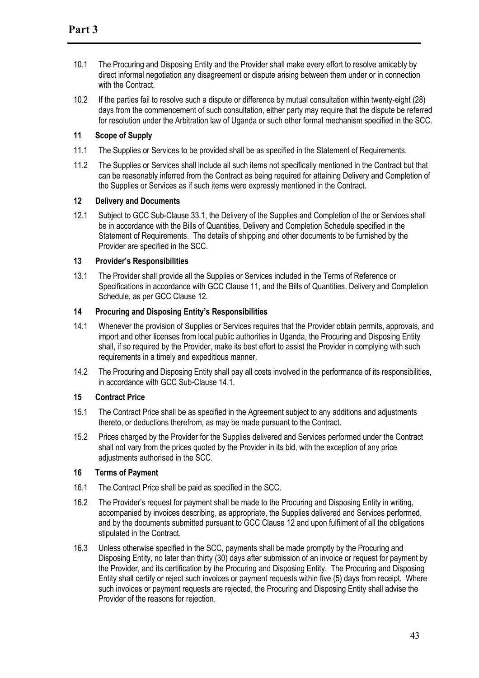- 10.1 The Procuring and Disposing Entity and the Provider shall make every effort to resolve amicably by direct informal negotiation any disagreement or dispute arising between them under or in connection with the Contract.
- 10.2 If the parties fail to resolve such a dispute or difference by mutual consultation within twenty-eight (28) days from the commencement of such consultation, either party may require that the dispute be referred for resolution under the Arbitration law of Uganda or such other formal mechanism specified in the SCC.

# **11 Scope of Supply**

- 11.1 The Supplies or Services to be provided shall be as specified in the Statement of Requirements.
- 11.2 The Supplies or Services shall include all such items not specifically mentioned in the Contract but that can be reasonably inferred from the Contract as being required for attaining Delivery and Completion of the Supplies or Services as if such items were expressly mentioned in the Contract.

#### **12 Delivery and Documents**

12.1 Subject to GCC Sub-Clause 33.1, the Delivery of the Supplies and Completion of the or Services shall be in accordance with the Bills of Quantities, Delivery and Completion Schedule specified in the Statement of Requirements. The details of shipping and other documents to be furnished by the Provider are specified in the SCC.

#### **13 Provider's Responsibilities**

13.1 The Provider shall provide all the Supplies or Services included in the Terms of Reference or Specifications in accordance with GCC Clause 11, and the Bills of Quantities, Delivery and Completion Schedule, as per GCC Clause 12.

#### **14 Procuring and Disposing Entity's Responsibilities**

- 14.1 Whenever the provision of Supplies or Services requires that the Provider obtain permits, approvals, and import and other licenses from local public authorities in Uganda, the Procuring and Disposing Entity shall, if so required by the Provider, make its best effort to assist the Provider in complying with such requirements in a timely and expeditious manner.
- 14.2 The Procuring and Disposing Entity shall pay all costs involved in the performance of its responsibilities, in accordance with GCC Sub-Clause 14.1.

# **15 Contract Price**

- 15.1 The Contract Price shall be as specified in the Agreement subject to any additions and adjustments thereto, or deductions therefrom, as may be made pursuant to the Contract.
- 15.2 Prices charged by the Provider for the Supplies delivered and Services performed under the Contract shall not vary from the prices quoted by the Provider in its bid, with the exception of any price adjustments authorised in the SCC.

#### **16 Terms of Payment**

- 16.1 The Contract Price shall be paid as specified in the SCC.
- 16.2 The Provider's request for payment shall be made to the Procuring and Disposing Entity in writing, accompanied by invoices describing, as appropriate, the Supplies delivered and Services performed, and by the documents submitted pursuant to GCC Clause 12 and upon fulfilment of all the obligations stipulated in the Contract.
- 16.3 Unless otherwise specified in the SCC, payments shall be made promptly by the Procuring and Disposing Entity, no later than thirty (30) days after submission of an invoice or request for payment by the Provider, and its certification by the Procuring and Disposing Entity. The Procuring and Disposing Entity shall certify or reject such invoices or payment requests within five (5) days from receipt. Where such invoices or payment requests are rejected, the Procuring and Disposing Entity shall advise the Provider of the reasons for rejection.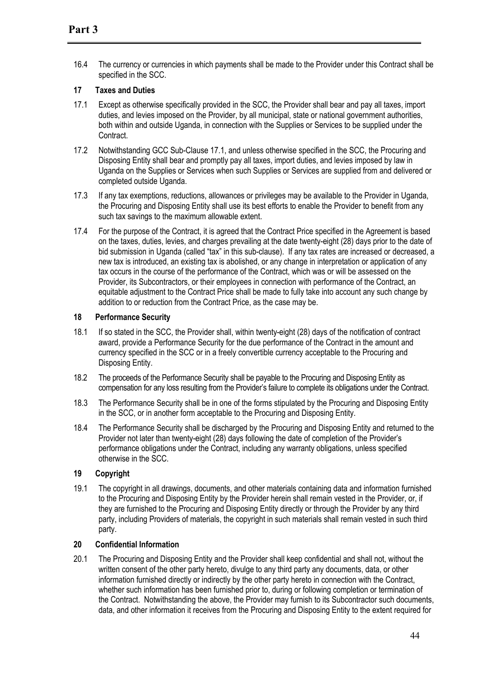16.4 The currency or currencies in which payments shall be made to the Provider under this Contract shall be specified in the SCC.

# **17 Taxes and Duties**

- 17.1 Except as otherwise specifically provided in the SCC, the Provider shall bear and pay all taxes, import duties, and levies imposed on the Provider, by all municipal, state or national government authorities, both within and outside Uganda, in connection with the Supplies or Services to be supplied under the Contract.
- 17.2 Notwithstanding GCC Sub-Clause 17.1, and unless otherwise specified in the SCC, the Procuring and Disposing Entity shall bear and promptly pay all taxes, import duties, and levies imposed by law in Uganda on the Supplies or Services when such Supplies or Services are supplied from and delivered or completed outside Uganda.
- 17.3 If any tax exemptions, reductions, allowances or privileges may be available to the Provider in Uganda, the Procuring and Disposing Entity shall use its best efforts to enable the Provider to benefit from any such tax savings to the maximum allowable extent.
- 17.4 For the purpose of the Contract, it is agreed that the Contract Price specified in the Agreement is based on the taxes, duties, levies, and charges prevailing at the date twenty-eight (28) days prior to the date of bid submission in Uganda (called "tax" in this sub-clause). If any tax rates are increased or decreased, a new tax is introduced, an existing tax is abolished, or any change in interpretation or application of any tax occurs in the course of the performance of the Contract, which was or will be assessed on the Provider, its Subcontractors, or their employees in connection with performance of the Contract, an equitable adjustment to the Contract Price shall be made to fully take into account any such change by addition to or reduction from the Contract Price, as the case may be.

#### **18 Performance Security**

- 18.1 If so stated in the SCC, the Provider shall, within twenty-eight (28) days of the notification of contract award, provide a Performance Security for the due performance of the Contract in the amount and currency specified in the SCC or in a freely convertible currency acceptable to the Procuring and Disposing Entity.
- 18.2 The proceeds of the Performance Security shall be payable to the Procuring and Disposing Entity as compensation for any loss resulting from the Provider's failure to complete its obligations under the Contract.
- 18.3 The Performance Security shall be in one of the forms stipulated by the Procuring and Disposing Entity in the SCC, or in another form acceptable to the Procuring and Disposing Entity.
- 18.4 The Performance Security shall be discharged by the Procuring and Disposing Entity and returned to the Provider not later than twenty-eight (28) days following the date of completion of the Provider's performance obligations under the Contract, including any warranty obligations, unless specified otherwise in the SCC.

# **19 Copyright**

19.1 The copyright in all drawings, documents, and other materials containing data and information furnished to the Procuring and Disposing Entity by the Provider herein shall remain vested in the Provider, or, if they are furnished to the Procuring and Disposing Entity directly or through the Provider by any third party, including Providers of materials, the copyright in such materials shall remain vested in such third party.

#### **20 Confidential Information**

20.1 The Procuring and Disposing Entity and the Provider shall keep confidential and shall not, without the written consent of the other party hereto, divulge to any third party any documents, data, or other information furnished directly or indirectly by the other party hereto in connection with the Contract, whether such information has been furnished prior to, during or following completion or termination of the Contract. Notwithstanding the above, the Provider may furnish to its Subcontractor such documents, data, and other information it receives from the Procuring and Disposing Entity to the extent required for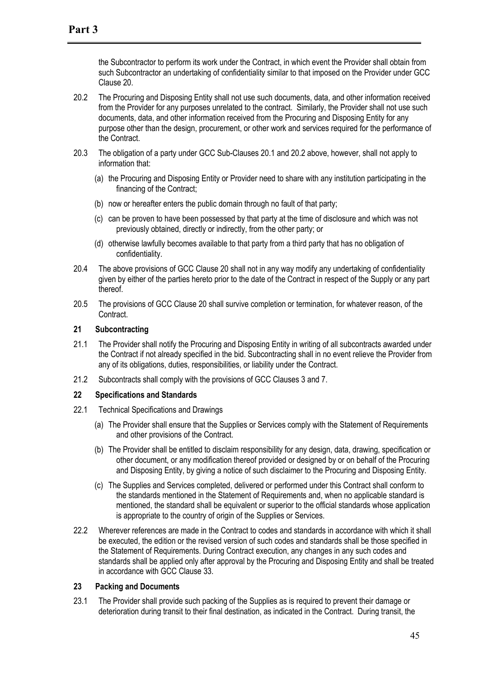the Subcontractor to perform its work under the Contract, in which event the Provider shall obtain from such Subcontractor an undertaking of confidentiality similar to that imposed on the Provider under GCC Clause 20.

- 20.2 The Procuring and Disposing Entity shall not use such documents, data, and other information received from the Provider for any purposes unrelated to the contract. Similarly, the Provider shall not use such documents, data, and other information received from the Procuring and Disposing Entity for any purpose other than the design, procurement, or other work and services required for the performance of the Contract.
- 20.3 The obligation of a party under GCC Sub-Clauses 20.1 and 20.2 above, however, shall not apply to information that:
	- (a) the Procuring and Disposing Entity or Provider need to share with any institution participating in the financing of the Contract;
	- (b) now or hereafter enters the public domain through no fault of that party;
	- (c) can be proven to have been possessed by that party at the time of disclosure and which was not previously obtained, directly or indirectly, from the other party; or
	- (d) otherwise lawfully becomes available to that party from a third party that has no obligation of confidentiality.
- 20.4 The above provisions of GCC Clause 20 shall not in any way modify any undertaking of confidentiality given by either of the parties hereto prior to the date of the Contract in respect of the Supply or any part thereof.
- 20.5 The provisions of GCC Clause 20 shall survive completion or termination, for whatever reason, of the Contract.

#### **21 Subcontracting**

- 21.1 The Provider shall notify the Procuring and Disposing Entity in writing of all subcontracts awarded under the Contract if not already specified in the bid. Subcontracting shall in no event relieve the Provider from any of its obligations, duties, responsibilities, or liability under the Contract.
- 21.2 Subcontracts shall comply with the provisions of GCC Clauses 3 and 7.

#### **22 Specifications and Standards**

- 22.1 Technical Specifications and Drawings
	- (a) The Provider shall ensure that the Supplies or Services comply with the Statement of Requirements and other provisions of the Contract.
	- (b) The Provider shall be entitled to disclaim responsibility for any design, data, drawing, specification or other document, or any modification thereof provided or designed by or on behalf of the Procuring and Disposing Entity, by giving a notice of such disclaimer to the Procuring and Disposing Entity.
	- (c) The Supplies and Services completed, delivered or performed under this Contract shall conform to the standards mentioned in the Statement of Requirements and, when no applicable standard is mentioned, the standard shall be equivalent or superior to the official standards whose application is appropriate to the country of origin of the Supplies or Services.
- 22.2 Wherever references are made in the Contract to codes and standards in accordance with which it shall be executed, the edition or the revised version of such codes and standards shall be those specified in the Statement of Requirements. During Contract execution, any changes in any such codes and standards shall be applied only after approval by the Procuring and Disposing Entity and shall be treated in accordance with GCC Clause 33.

#### **23 Packing and Documents**

23.1 The Provider shall provide such packing of the Supplies as is required to prevent their damage or deterioration during transit to their final destination, as indicated in the Contract. During transit, the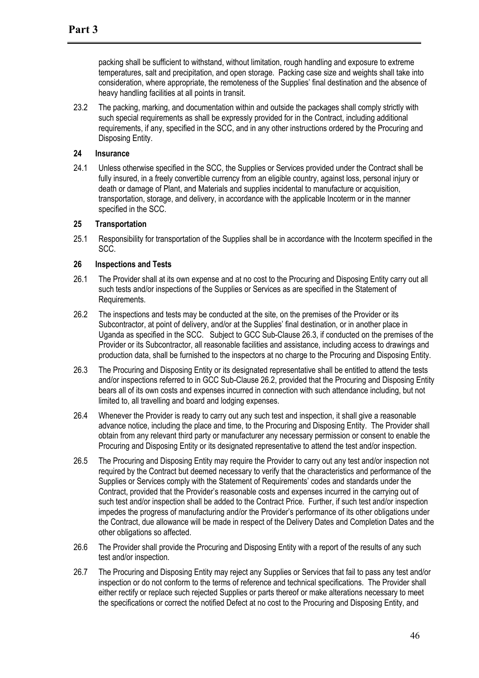packing shall be sufficient to withstand, without limitation, rough handling and exposure to extreme temperatures, salt and precipitation, and open storage. Packing case size and weights shall take into consideration, where appropriate, the remoteness of the Supplies' final destination and the absence of heavy handling facilities at all points in transit.

23.2 The packing, marking, and documentation within and outside the packages shall comply strictly with such special requirements as shall be expressly provided for in the Contract, including additional requirements, if any, specified in the SCC, and in any other instructions ordered by the Procuring and Disposing Entity.

#### **24 Insurance**

24.1 Unless otherwise specified in the SCC, the Supplies or Services provided under the Contract shall be fully insured, in a freely convertible currency from an eligible country, against loss, personal injury or death or damage of Plant, and Materials and supplies incidental to manufacture or acquisition, transportation, storage, and delivery, in accordance with the applicable Incoterm or in the manner specified in the SCC.

#### **25 Transportation**

25.1 Responsibility for transportation of the Supplies shall be in accordance with the Incoterm specified in the SCC.

#### **26 Inspections and Tests**

- 26.1 The Provider shall at its own expense and at no cost to the Procuring and Disposing Entity carry out all such tests and/or inspections of the Supplies or Services as are specified in the Statement of Requirements.
- 26.2 The inspections and tests may be conducted at the site, on the premises of the Provider or its Subcontractor, at point of delivery, and/or at the Supplies' final destination, or in another place in Uganda as specified in the SCC. Subject to GCC Sub-Clause 26.3, if conducted on the premises of the Provider or its Subcontractor, all reasonable facilities and assistance, including access to drawings and production data, shall be furnished to the inspectors at no charge to the Procuring and Disposing Entity.
- 26.3 The Procuring and Disposing Entity or its designated representative shall be entitled to attend the tests and/or inspections referred to in GCC Sub-Clause 26.2, provided that the Procuring and Disposing Entity bears all of its own costs and expenses incurred in connection with such attendance including, but not limited to, all travelling and board and lodging expenses.
- 26.4 Whenever the Provider is ready to carry out any such test and inspection, it shall give a reasonable advance notice, including the place and time, to the Procuring and Disposing Entity. The Provider shall obtain from any relevant third party or manufacturer any necessary permission or consent to enable the Procuring and Disposing Entity or its designated representative to attend the test and/or inspection.
- 26.5 The Procuring and Disposing Entity may require the Provider to carry out any test and/or inspection not required by the Contract but deemed necessary to verify that the characteristics and performance of the Supplies or Services comply with the Statement of Requirements' codes and standards under the Contract, provided that the Provider's reasonable costs and expenses incurred in the carrying out of such test and/or inspection shall be added to the Contract Price. Further, if such test and/or inspection impedes the progress of manufacturing and/or the Provider's performance of its other obligations under the Contract, due allowance will be made in respect of the Delivery Dates and Completion Dates and the other obligations so affected.
- 26.6 The Provider shall provide the Procuring and Disposing Entity with a report of the results of any such test and/or inspection.
- 26.7 The Procuring and Disposing Entity may reject any Supplies or Services that fail to pass any test and/or inspection or do not conform to the terms of reference and technical specifications. The Provider shall either rectify or replace such rejected Supplies or parts thereof or make alterations necessary to meet the specifications or correct the notified Defect at no cost to the Procuring and Disposing Entity, and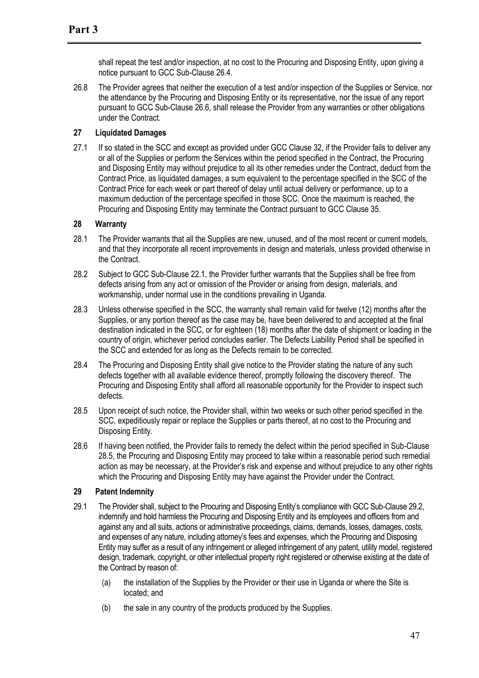shall repeat the test and/or inspection, at no cost to the Procuring and Disposing Entity, upon giving a notice pursuant to GCC Sub-Clause 26.4.

26.8 The Provider agrees that neither the execution of a test and/or inspection of the Supplies or Service, nor the attendance by the Procuring and Disposing Entity or its representative, nor the issue of any report pursuant to GCC Sub-Clause 26.6, shall release the Provider from any warranties or other obligations under the Contract.

# **27 Liquidated Damages**

27.1 If so stated in the SCC and except as provided under GCC Clause 32, if the Provider fails to deliver any or all of the Supplies or perform the Services within the period specified in the Contract, the Procuring and Disposing Entity may without prejudice to all its other remedies under the Contract, deduct from the Contract Price, as liquidated damages, a sum equivalent to the percentage specified in the SCC of the Contract Price for each week or part thereof of delay until actual delivery or performance, up to a maximum deduction of the percentage specified in those SCC. Once the maximum is reached, the Procuring and Disposing Entity may terminate the Contract pursuant to GCC Clause 35.

# **28 Warranty**

- 28.1 The Provider warrants that all the Supplies are new, unused, and of the most recent or current models, and that they incorporate all recent improvements in design and materials, unless provided otherwise in the Contract.
- 28.2 Subject to GCC Sub-Clause 22.1, the Provider further warrants that the Supplies shall be free from defects arising from any act or omission of the Provider or arising from design, materials, and workmanship, under normal use in the conditions prevailing in Uganda.
- 28.3 Unless otherwise specified in the SCC, the warranty shall remain valid for twelve (12) months after the Supplies, or any portion thereof as the case may be, have been delivered to and accepted at the final destination indicated in the SCC, or for eighteen (18) months after the date of shipment or loading in the country of origin, whichever period concludes earlier. The Defects Liability Period shall be specified in the SCC and extended for as long as the Defects remain to be corrected.
- 28.4 The Procuring and Disposing Entity shall give notice to the Provider stating the nature of any such defects together with all available evidence thereof, promptly following the discovery thereof. The Procuring and Disposing Entity shall afford all reasonable opportunity for the Provider to inspect such defects.
- 28.5 Upon receipt of such notice, the Provider shall, within two weeks or such other period specified in the SCC, expeditiously repair or replace the Supplies or parts thereof, at no cost to the Procuring and Disposing Entity.
- 28.6 If having been notified, the Provider fails to remedy the defect within the period specified in Sub-Clause 28.5, the Procuring and Disposing Entity may proceed to take within a reasonable period such remedial action as may be necessary, at the Provider's risk and expense and without prejudice to any other rights which the Procuring and Disposing Entity may have against the Provider under the Contract.

#### **29 Patent Indemnity**

- 29.1 The Provider shall, subject to the Procuring and Disposing Entity's compliance with GCC Sub-Clause 29.2, indemnify and hold harmless the Procuring and Disposing Entity and its employees and officers from and against any and all suits, actions or administrative proceedings, claims, demands, losses, damages, costs, and expenses of any nature, including attorney's fees and expenses, which the Procuring and Disposing Entity may suffer as a result of any infringement or alleged infringement of any patent, utility model, registered design, trademark, copyright, or other intellectual property right registered or otherwise existing at the date of the Contract by reason of:
	- (a) the installation of the Supplies by the Provider or their use in Uganda or where the Site is located; and
	- (b) the sale in any country of the products produced by the Supplies.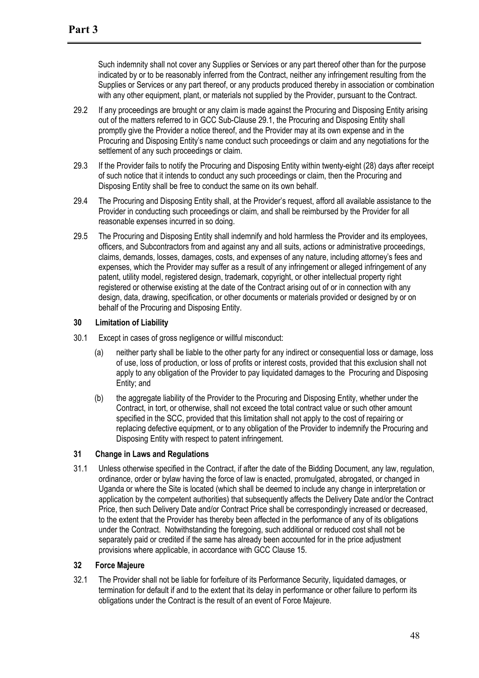Such indemnity shall not cover any Supplies or Services or any part thereof other than for the purpose indicated by or to be reasonably inferred from the Contract, neither any infringement resulting from the Supplies or Services or any part thereof, or any products produced thereby in association or combination with any other equipment, plant, or materials not supplied by the Provider, pursuant to the Contract.

- 29.2 If any proceedings are brought or any claim is made against the Procuring and Disposing Entity arising out of the matters referred to in GCC Sub-Clause 29.1, the Procuring and Disposing Entity shall promptly give the Provider a notice thereof, and the Provider may at its own expense and in the Procuring and Disposing Entity's name conduct such proceedings or claim and any negotiations for the settlement of any such proceedings or claim.
- 29.3 If the Provider fails to notify the Procuring and Disposing Entity within twenty-eight (28) days after receipt of such notice that it intends to conduct any such proceedings or claim, then the Procuring and Disposing Entity shall be free to conduct the same on its own behalf.
- 29.4 The Procuring and Disposing Entity shall, at the Provider's request, afford all available assistance to the Provider in conducting such proceedings or claim, and shall be reimbursed by the Provider for all reasonable expenses incurred in so doing.
- 29.5 The Procuring and Disposing Entity shall indemnify and hold harmless the Provider and its employees, officers, and Subcontractors from and against any and all suits, actions or administrative proceedings, claims, demands, losses, damages, costs, and expenses of any nature, including attorney's fees and expenses, which the Provider may suffer as a result of any infringement or alleged infringement of any patent, utility model, registered design, trademark, copyright, or other intellectual property right registered or otherwise existing at the date of the Contract arising out of or in connection with any design, data, drawing, specification, or other documents or materials provided or designed by or on behalf of the Procuring and Disposing Entity.

#### **30 Limitation of Liability**

- 30.1 Except in cases of gross negligence or willful misconduct:
	- (a) neither party shall be liable to the other party for any indirect or consequential loss or damage, loss of use, loss of production, or loss of profits or interest costs, provided that this exclusion shall not apply to any obligation of the Provider to pay liquidated damages to the Procuring and Disposing Entity; and
	- (b) the aggregate liability of the Provider to the Procuring and Disposing Entity, whether under the Contract, in tort, or otherwise, shall not exceed the total contract value or such other amount specified in the SCC, provided that this limitation shall not apply to the cost of repairing or replacing defective equipment, or to any obligation of the Provider to indemnify the Procuring and Disposing Entity with respect to patent infringement.

#### **31 Change in Laws and Regulations**

31.1 Unless otherwise specified in the Contract, if after the date of the Bidding Document, any law, regulation, ordinance, order or bylaw having the force of law is enacted, promulgated, abrogated, or changed in Uganda or where the Site is located (which shall be deemed to include any change in interpretation or application by the competent authorities) that subsequently affects the Delivery Date and/or the Contract Price, then such Delivery Date and/or Contract Price shall be correspondingly increased or decreased, to the extent that the Provider has thereby been affected in the performance of any of its obligations under the Contract. Notwithstanding the foregoing, such additional or reduced cost shall not be separately paid or credited if the same has already been accounted for in the price adjustment provisions where applicable, in accordance with GCC Clause 15.

#### **32 Force Majeure**

32.1 The Provider shall not be liable for forfeiture of its Performance Security, liquidated damages, or termination for default if and to the extent that its delay in performance or other failure to perform its obligations under the Contract is the result of an event of Force Majeure.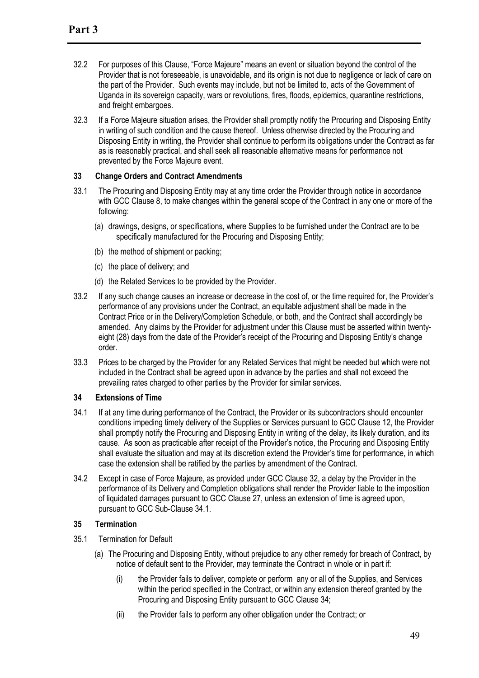- 32.2 For purposes of this Clause, "Force Majeure" means an event or situation beyond the control of the Provider that is not foreseeable, is unavoidable, and its origin is not due to negligence or lack of care on the part of the Provider. Such events may include, but not be limited to, acts of the Government of Uganda in its sovereign capacity, wars or revolutions, fires, floods, epidemics, quarantine restrictions, and freight embargoes.
- 32.3 If a Force Majeure situation arises, the Provider shall promptly notify the Procuring and Disposing Entity in writing of such condition and the cause thereof. Unless otherwise directed by the Procuring and Disposing Entity in writing, the Provider shall continue to perform its obligations under the Contract as far as is reasonably practical, and shall seek all reasonable alternative means for performance not prevented by the Force Majeure event.

#### **33 Change Orders and Contract Amendments**

- 33.1 The Procuring and Disposing Entity may at any time order the Provider through notice in accordance with GCC Clause 8, to make changes within the general scope of the Contract in any one or more of the following:
	- (a) drawings, designs, or specifications, where Supplies to be furnished under the Contract are to be specifically manufactured for the Procuring and Disposing Entity;
	- (b) the method of shipment or packing;
	- (c) the place of delivery; and
	- (d) the Related Services to be provided by the Provider.
- 33.2 If any such change causes an increase or decrease in the cost of, or the time required for, the Provider's performance of any provisions under the Contract, an equitable adjustment shall be made in the Contract Price or in the Delivery/Completion Schedule, or both, and the Contract shall accordingly be amended. Any claims by the Provider for adjustment under this Clause must be asserted within twentyeight (28) days from the date of the Provider's receipt of the Procuring and Disposing Entity's change order.
- 33.3 Prices to be charged by the Provider for any Related Services that might be needed but which were not included in the Contract shall be agreed upon in advance by the parties and shall not exceed the prevailing rates charged to other parties by the Provider for similar services.

#### **34 Extensions of Time**

- 34.1 If at any time during performance of the Contract, the Provider or its subcontractors should encounter conditions impeding timely delivery of the Supplies or Services pursuant to GCC Clause 12, the Provider shall promptly notify the Procuring and Disposing Entity in writing of the delay, its likely duration, and its cause. As soon as practicable after receipt of the Provider's notice, the Procuring and Disposing Entity shall evaluate the situation and may at its discretion extend the Provider's time for performance, in which case the extension shall be ratified by the parties by amendment of the Contract.
- 34.2 Except in case of Force Majeure, as provided under GCC Clause 32, a delay by the Provider in the performance of its Delivery and Completion obligations shall render the Provider liable to the imposition of liquidated damages pursuant to GCC Clause 27, unless an extension of time is agreed upon, pursuant to GCC Sub-Clause 34.1.

# **35 Termination**

- 35.1 Termination for Default
	- (a) The Procuring and Disposing Entity, without prejudice to any other remedy for breach of Contract, by notice of default sent to the Provider, may terminate the Contract in whole or in part if:
		- (i) the Provider fails to deliver, complete or perform any or all of the Supplies, and Services within the period specified in the Contract, or within any extension thereof granted by the Procuring and Disposing Entity pursuant to GCC Clause 34;
		- (ii) the Provider fails to perform any other obligation under the Contract; or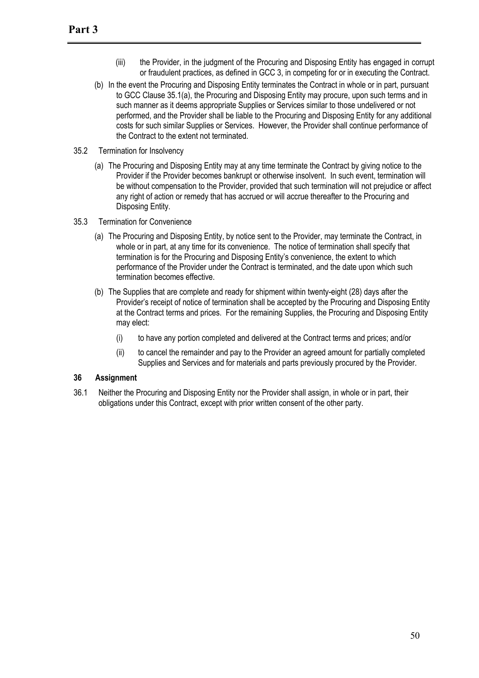- (iii) the Provider, in the judgment of the Procuring and Disposing Entity has engaged in corrupt or fraudulent practices, as defined in GCC 3, in competing for or in executing the Contract.
- (b) In the event the Procuring and Disposing Entity terminates the Contract in whole or in part, pursuant to GCC Clause 35.1(a), the Procuring and Disposing Entity may procure, upon such terms and in such manner as it deems appropriate Supplies or Services similar to those undelivered or not performed, and the Provider shall be liable to the Procuring and Disposing Entity for any additional costs for such similar Supplies or Services. However, the Provider shall continue performance of the Contract to the extent not terminated.
- 35.2 Termination for Insolvency
	- (a) The Procuring and Disposing Entity may at any time terminate the Contract by giving notice to the Provider if the Provider becomes bankrupt or otherwise insolvent. In such event, termination will be without compensation to the Provider, provided that such termination will not prejudice or affect any right of action or remedy that has accrued or will accrue thereafter to the Procuring and Disposing Entity.
- 35.3 Termination for Convenience
	- (a) The Procuring and Disposing Entity, by notice sent to the Provider, may terminate the Contract, in whole or in part, at any time for its convenience. The notice of termination shall specify that termination is for the Procuring and Disposing Entity's convenience, the extent to which performance of the Provider under the Contract is terminated, and the date upon which such termination becomes effective.
	- (b) The Supplies that are complete and ready for shipment within twenty-eight (28) days after the Provider's receipt of notice of termination shall be accepted by the Procuring and Disposing Entity at the Contract terms and prices. For the remaining Supplies, the Procuring and Disposing Entity may elect:
		- (i) to have any portion completed and delivered at the Contract terms and prices; and/or
		- (ii) to cancel the remainder and pay to the Provider an agreed amount for partially completed Supplies and Services and for materials and parts previously procured by the Provider.

#### **36 Assignment**

36.1 Neither the Procuring and Disposing Entity nor the Provider shall assign, in whole or in part, their obligations under this Contract, except with prior written consent of the other party.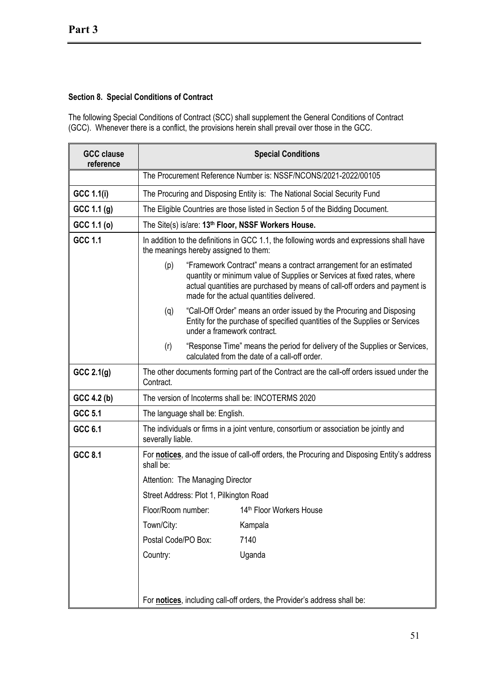# **Section 8. Special Conditions of Contract**

The following Special Conditions of Contract (SCC) shall supplement the General Conditions of Contract (GCC). Whenever there is a conflict, the provisions herein shall prevail over those in the GCC.

| <b>GCC clause</b><br>reference | <b>Special Conditions</b>                                                                                                          |                                                                                                                                                                                                                                                                          |                                                                               |  |  |  |
|--------------------------------|------------------------------------------------------------------------------------------------------------------------------------|--------------------------------------------------------------------------------------------------------------------------------------------------------------------------------------------------------------------------------------------------------------------------|-------------------------------------------------------------------------------|--|--|--|
|                                | The Procurement Reference Number is: NSSF/NCONS/2021-2022/00105                                                                    |                                                                                                                                                                                                                                                                          |                                                                               |  |  |  |
| <b>GCC 1.1(i)</b>              |                                                                                                                                    | The Procuring and Disposing Entity is: The National Social Security Fund                                                                                                                                                                                                 |                                                                               |  |  |  |
| GCC 1.1 (g)                    |                                                                                                                                    |                                                                                                                                                                                                                                                                          | The Eligible Countries are those listed in Section 5 of the Bidding Document. |  |  |  |
| GCC 1.1 (o)                    |                                                                                                                                    |                                                                                                                                                                                                                                                                          | The Site(s) is/are: 13 <sup>th</sup> Floor, NSSF Workers House.               |  |  |  |
| GCC 1.1                        | In addition to the definitions in GCC 1.1, the following words and expressions shall have<br>the meanings hereby assigned to them: |                                                                                                                                                                                                                                                                          |                                                                               |  |  |  |
|                                | (p)                                                                                                                                | "Framework Contract" means a contract arrangement for an estimated<br>quantity or minimum value of Supplies or Services at fixed rates, where<br>actual quantities are purchased by means of call-off orders and payment is<br>made for the actual quantities delivered. |                                                                               |  |  |  |
|                                | (q)                                                                                                                                | "Call-Off Order" means an order issued by the Procuring and Disposing<br>Entity for the purchase of specified quantities of the Supplies or Services<br>under a framework contract.                                                                                      |                                                                               |  |  |  |
|                                | "Response Time" means the period for delivery of the Supplies or Services,<br>(r)<br>calculated from the date of a call-off order. |                                                                                                                                                                                                                                                                          |                                                                               |  |  |  |
| GCC 2.1(g)                     | The other documents forming part of the Contract are the call-off orders issued under the<br>Contract.                             |                                                                                                                                                                                                                                                                          |                                                                               |  |  |  |
| GCC 4.2 (b)                    | The version of Incoterms shall be: INCOTERMS 2020                                                                                  |                                                                                                                                                                                                                                                                          |                                                                               |  |  |  |
| GCC 5.1                        | The language shall be: English.                                                                                                    |                                                                                                                                                                                                                                                                          |                                                                               |  |  |  |
| GCC 6.1                        | The individuals or firms in a joint venture, consortium or association be jointly and<br>severally liable.                         |                                                                                                                                                                                                                                                                          |                                                                               |  |  |  |
| GCC 8.1                        | For notices, and the issue of call-off orders, the Procuring and Disposing Entity's address<br>shall be:                           |                                                                                                                                                                                                                                                                          |                                                                               |  |  |  |
|                                |                                                                                                                                    | Attention: The Managing Director                                                                                                                                                                                                                                         |                                                                               |  |  |  |
|                                |                                                                                                                                    | Street Address: Plot 1, Pilkington Road                                                                                                                                                                                                                                  |                                                                               |  |  |  |
|                                | Floor/Room number:                                                                                                                 |                                                                                                                                                                                                                                                                          | 14th Floor Workers House                                                      |  |  |  |
|                                | Town/City:                                                                                                                         |                                                                                                                                                                                                                                                                          | Kampala                                                                       |  |  |  |
|                                | Postal Code/PO Box:                                                                                                                |                                                                                                                                                                                                                                                                          | 7140                                                                          |  |  |  |
|                                | Country:                                                                                                                           |                                                                                                                                                                                                                                                                          | Uganda                                                                        |  |  |  |
|                                | For notices, including call-off orders, the Provider's address shall be:                                                           |                                                                                                                                                                                                                                                                          |                                                                               |  |  |  |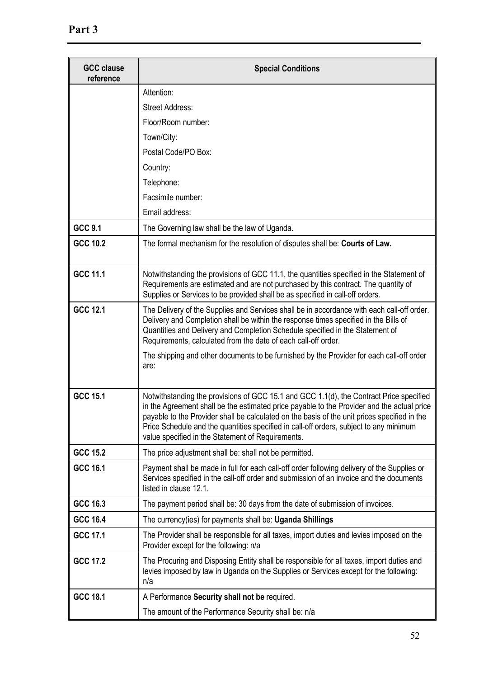| <b>GCC clause</b><br>reference | <b>Special Conditions</b>                                                                                                                                                                                                                                                                                                                                                                                                            |
|--------------------------------|--------------------------------------------------------------------------------------------------------------------------------------------------------------------------------------------------------------------------------------------------------------------------------------------------------------------------------------------------------------------------------------------------------------------------------------|
|                                | Attention:                                                                                                                                                                                                                                                                                                                                                                                                                           |
|                                | <b>Street Address:</b>                                                                                                                                                                                                                                                                                                                                                                                                               |
|                                | Floor/Room number:                                                                                                                                                                                                                                                                                                                                                                                                                   |
|                                | Town/City:                                                                                                                                                                                                                                                                                                                                                                                                                           |
|                                | Postal Code/PO Box:                                                                                                                                                                                                                                                                                                                                                                                                                  |
|                                | Country:                                                                                                                                                                                                                                                                                                                                                                                                                             |
|                                | Telephone:                                                                                                                                                                                                                                                                                                                                                                                                                           |
|                                | Facsimile number:                                                                                                                                                                                                                                                                                                                                                                                                                    |
|                                | Email address:                                                                                                                                                                                                                                                                                                                                                                                                                       |
| GCC 9.1                        | The Governing law shall be the law of Uganda.                                                                                                                                                                                                                                                                                                                                                                                        |
| GCC 10.2                       | The formal mechanism for the resolution of disputes shall be: Courts of Law.                                                                                                                                                                                                                                                                                                                                                         |
| GCC 11.1                       | Notwithstanding the provisions of GCC 11.1, the quantities specified in the Statement of<br>Requirements are estimated and are not purchased by this contract. The quantity of<br>Supplies or Services to be provided shall be as specified in call-off orders.                                                                                                                                                                      |
| GCC 12.1                       | The Delivery of the Supplies and Services shall be in accordance with each call-off order.<br>Delivery and Completion shall be within the response times specified in the Bills of<br>Quantities and Delivery and Completion Schedule specified in the Statement of<br>Requirements, calculated from the date of each call-off order.                                                                                                |
|                                | The shipping and other documents to be furnished by the Provider for each call-off order<br>are:                                                                                                                                                                                                                                                                                                                                     |
| GCC 15.1                       | Notwithstanding the provisions of GCC 15.1 and GCC 1.1(d), the Contract Price specified<br>in the Agreement shall be the estimated price payable to the Provider and the actual price<br>payable to the Provider shall be calculated on the basis of the unit prices specified in the<br>Price Schedule and the quantities specified in call-off orders, subject to any minimum<br>value specified in the Statement of Requirements. |
| <b>GCC 15.2</b>                | The price adjustment shall be: shall not be permitted.                                                                                                                                                                                                                                                                                                                                                                               |
| GCC 16.1                       | Payment shall be made in full for each call-off order following delivery of the Supplies or<br>Services specified in the call-off order and submission of an invoice and the documents<br>listed in clause 12.1.                                                                                                                                                                                                                     |
| GCC 16.3                       | The payment period shall be: 30 days from the date of submission of invoices.                                                                                                                                                                                                                                                                                                                                                        |
| GCC 16.4                       | The currency(ies) for payments shall be: Uganda Shillings                                                                                                                                                                                                                                                                                                                                                                            |
| GCC 17.1                       | The Provider shall be responsible for all taxes, import duties and levies imposed on the<br>Provider except for the following: n/a                                                                                                                                                                                                                                                                                                   |
| <b>GCC 17.2</b>                | The Procuring and Disposing Entity shall be responsible for all taxes, import duties and<br>levies imposed by law in Uganda on the Supplies or Services except for the following:<br>n/a                                                                                                                                                                                                                                             |
| GCC 18.1                       | A Performance Security shall not be required.                                                                                                                                                                                                                                                                                                                                                                                        |
|                                | The amount of the Performance Security shall be: n/a                                                                                                                                                                                                                                                                                                                                                                                 |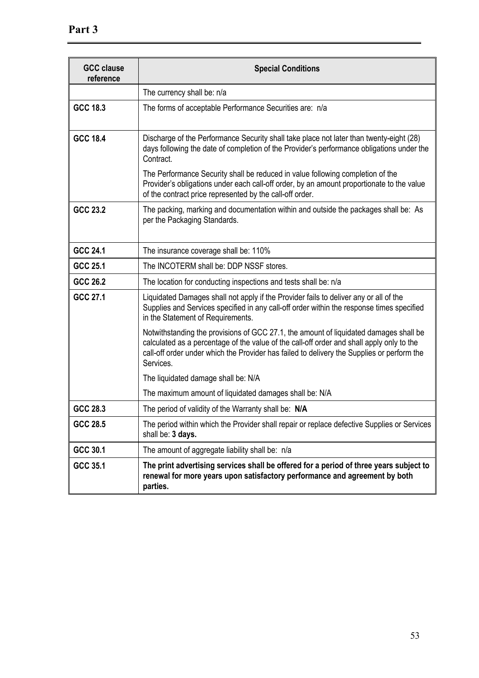| <b>GCC clause</b><br>reference | <b>Special Conditions</b>                                                                                                                                                                                                                                                                     |  |
|--------------------------------|-----------------------------------------------------------------------------------------------------------------------------------------------------------------------------------------------------------------------------------------------------------------------------------------------|--|
|                                | The currency shall be: n/a                                                                                                                                                                                                                                                                    |  |
| GCC 18.3                       | The forms of acceptable Performance Securities are: n/a                                                                                                                                                                                                                                       |  |
| GCC 18.4                       | Discharge of the Performance Security shall take place not later than twenty-eight (28)<br>days following the date of completion of the Provider's performance obligations under the<br>Contract.                                                                                             |  |
|                                | The Performance Security shall be reduced in value following completion of the<br>Provider's obligations under each call-off order, by an amount proportionate to the value<br>of the contract price represented by the call-off order.                                                       |  |
| GCC 23.2                       | The packing, marking and documentation within and outside the packages shall be: As<br>per the Packaging Standards.                                                                                                                                                                           |  |
| GCC 24.1                       | The insurance coverage shall be: 110%                                                                                                                                                                                                                                                         |  |
| GCC 25.1                       | The INCOTERM shall be: DDP NSSF stores.                                                                                                                                                                                                                                                       |  |
| GCC 26.2                       | The location for conducting inspections and tests shall be: n/a                                                                                                                                                                                                                               |  |
| GCC 27.1                       | Liquidated Damages shall not apply if the Provider fails to deliver any or all of the<br>Supplies and Services specified in any call-off order within the response times specified<br>in the Statement of Requirements.                                                                       |  |
|                                | Notwithstanding the provisions of GCC 27.1, the amount of liquidated damages shall be<br>calculated as a percentage of the value of the call-off order and shall apply only to the<br>call-off order under which the Provider has failed to delivery the Supplies or perform the<br>Services. |  |
|                                | The liquidated damage shall be: N/A                                                                                                                                                                                                                                                           |  |
|                                | The maximum amount of liquidated damages shall be: N/A                                                                                                                                                                                                                                        |  |
| GCC 28.3                       | The period of validity of the Warranty shall be: N/A                                                                                                                                                                                                                                          |  |
| GCC 28.5                       | The period within which the Provider shall repair or replace defective Supplies or Services<br>shall be: 3 days.                                                                                                                                                                              |  |
| GCC 30.1                       | The amount of aggregate liability shall be: n/a                                                                                                                                                                                                                                               |  |
| GCC 35.1                       | The print advertising services shall be offered for a period of three years subject to<br>renewal for more years upon satisfactory performance and agreement by both<br>parties.                                                                                                              |  |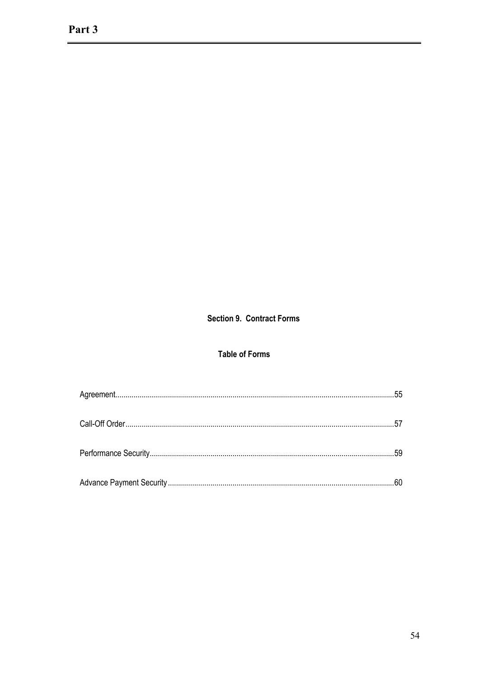# **Section 9. Contract Forms**

# **Table of Forms**

| 59 |
|----|
|    |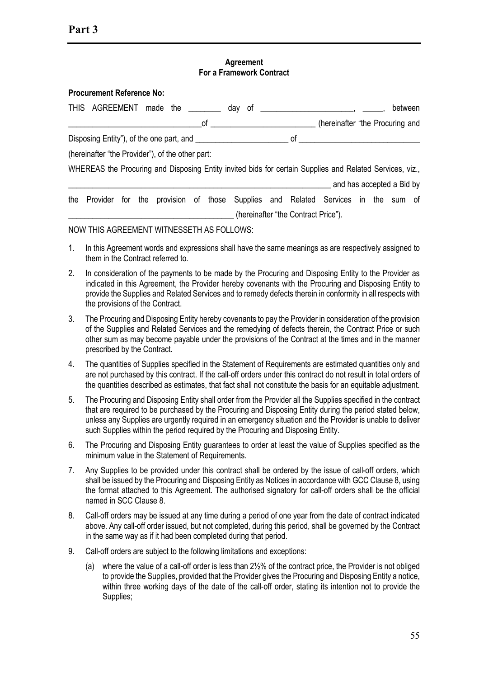#### **Agreement For a Framework Contract**

| <b>Procurement Reference No:</b>                 |  |  |                                                                                                          |                                     |                                 |  |         |  |
|--------------------------------------------------|--|--|----------------------------------------------------------------------------------------------------------|-------------------------------------|---------------------------------|--|---------|--|
| THIS AGREEMENT made the ________ day             |  |  | of                                                                                                       |                                     |                                 |  | between |  |
|                                                  |  |  |                                                                                                          |                                     | (hereinafter "the Procuring and |  |         |  |
|                                                  |  |  |                                                                                                          |                                     |                                 |  |         |  |
| (hereinafter "the Provider"), of the other part: |  |  |                                                                                                          |                                     |                                 |  |         |  |
|                                                  |  |  | WHEREAS the Procuring and Disposing Entity invited bids for certain Supplies and Related Services, viz., |                                     |                                 |  |         |  |
|                                                  |  |  |                                                                                                          |                                     | and has accepted a Bid by       |  |         |  |
|                                                  |  |  | the Provider for the provision of those Supplies and Related Services in the sum of                      |                                     |                                 |  |         |  |
|                                                  |  |  |                                                                                                          | (hereinafter "the Contract Price"). |                                 |  |         |  |

NOW THIS AGREEMENT WITNESSETH AS FOLLOWS:

- 1. In this Agreement words and expressions shall have the same meanings as are respectively assigned to them in the Contract referred to.
- 2. In consideration of the payments to be made by the Procuring and Disposing Entity to the Provider as indicated in this Agreement, the Provider hereby covenants with the Procuring and Disposing Entity to provide the Supplies and Related Services and to remedy defects therein in conformity in all respects with the provisions of the Contract.
- 3. The Procuring and Disposing Entity hereby covenants to pay the Provider in consideration of the provision of the Supplies and Related Services and the remedying of defects therein, the Contract Price or such other sum as may become payable under the provisions of the Contract at the times and in the manner prescribed by the Contract.
- 4. The quantities of Supplies specified in the Statement of Requirements are estimated quantities only and are not purchased by this contract. If the call-off orders under this contract do not result in total orders of the quantities described as estimates, that fact shall not constitute the basis for an equitable adjustment.
- 5. The Procuring and Disposing Entity shall order from the Provider all the Supplies specified in the contract that are required to be purchased by the Procuring and Disposing Entity during the period stated below, unless any Supplies are urgently required in an emergency situation and the Provider is unable to deliver such Supplies within the period required by the Procuring and Disposing Entity.
- 6. The Procuring and Disposing Entity guarantees to order at least the value of Supplies specified as the minimum value in the Statement of Requirements.
- 7. Any Supplies to be provided under this contract shall be ordered by the issue of call-off orders, which shall be issued by the Procuring and Disposing Entity as Notices in accordance with GCC Clause 8, using the format attached to this Agreement. The authorised signatory for call-off orders shall be the official named in SCC Clause 8.
- 8. Call-off orders may be issued at any time during a period of one year from the date of contract indicated above. Any call-off order issued, but not completed, during this period, shall be governed by the Contract in the same way as if it had been completed during that period.
- 9. Call-off orders are subject to the following limitations and exceptions:
	- (a) where the value of a call-off order is less than 2½% of the contract price, the Provider is not obliged to provide the Supplies, provided that the Provider gives the Procuring and Disposing Entity a notice, within three working days of the date of the call-off order, stating its intention not to provide the Supplies;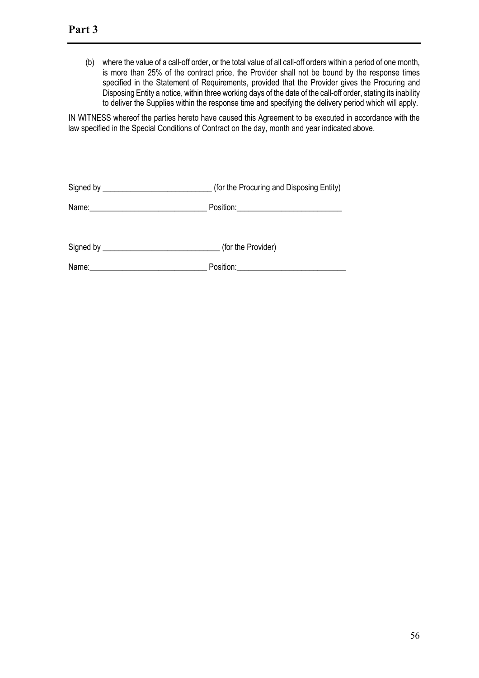(b) where the value of a call-off order, or the total value of all call-off orders within a period of one month, is more than 25% of the contract price, the Provider shall not be bound by the response times specified in the Statement of Requirements, provided that the Provider gives the Procuring and Disposing Entity a notice, within three working days of the date of the call-off order, stating its inability to deliver the Supplies within the response time and specifying the delivery period which will apply.

IN WITNESS whereof the parties hereto have caused this Agreement to be executed in accordance with the law specified in the Special Conditions of Contract on the day, month and year indicated above.

|       | (for the Procuring and Disposing Entity) |
|-------|------------------------------------------|
|       |                                          |
|       | (for the Provider)                       |
| Name: | Position: Position:                      |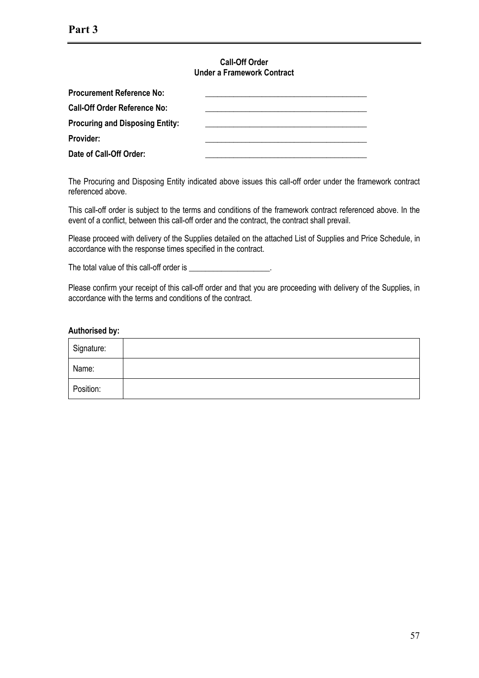#### **Call-Off Order Under a Framework Contract**

| <b>Procurement Reference No:</b>       |  |
|----------------------------------------|--|
| <b>Call-Off Order Reference No:</b>    |  |
| <b>Procuring and Disposing Entity:</b> |  |
| Provider:                              |  |
| Date of Call-Off Order:                |  |

The Procuring and Disposing Entity indicated above issues this call-off order under the framework contract referenced above.

This call-off order is subject to the terms and conditions of the framework contract referenced above. In the event of a conflict, between this call-off order and the contract, the contract shall prevail.

Please proceed with delivery of the Supplies detailed on the attached List of Supplies and Price Schedule, in accordance with the response times specified in the contract.

The total value of this call-off order is \_\_\_\_\_\_\_\_\_\_\_\_\_\_\_\_\_\_\_\_.

Please confirm your receipt of this call-off order and that you are proceeding with delivery of the Supplies, in accordance with the terms and conditions of the contract.

#### **Authorised by:**

| Signature: |  |
|------------|--|
| Name:      |  |
| Position:  |  |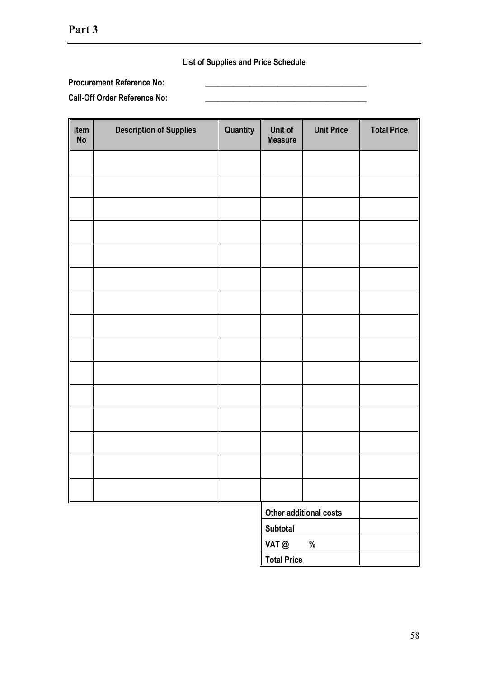# **List of Supplies and Price Schedule**

# **Procurement Reference No: \_\_\_\_\_\_\_\_\_\_\_\_\_\_\_\_\_\_\_\_\_\_\_\_\_\_\_\_\_\_\_\_\_\_\_\_\_\_\_\_**

**Call-Off Order Reference No: \_\_\_\_\_\_\_\_\_\_\_\_\_\_\_\_\_\_\_\_\_\_\_\_\_\_\_\_\_\_\_\_\_\_\_\_\_\_\_\_**

| Item<br>No | <b>Description of Supplies</b> | Quantity               | Unit of<br><b>Measure</b> | <b>Unit Price</b> | <b>Total Price</b> |
|------------|--------------------------------|------------------------|---------------------------|-------------------|--------------------|
|            |                                |                        |                           |                   |                    |
|            |                                |                        |                           |                   |                    |
|            |                                |                        |                           |                   |                    |
|            |                                |                        |                           |                   |                    |
|            |                                |                        |                           |                   |                    |
|            |                                |                        |                           |                   |                    |
|            |                                |                        |                           |                   |                    |
|            |                                |                        |                           |                   |                    |
|            |                                |                        |                           |                   |                    |
|            |                                |                        |                           |                   |                    |
|            |                                |                        |                           |                   |                    |
|            |                                |                        |                           |                   |                    |
|            |                                |                        |                           |                   |                    |
|            |                                |                        |                           |                   |                    |
|            |                                |                        |                           |                   |                    |
|            |                                | Other additional costs |                           |                   |                    |
|            |                                |                        | <b>Subtotal</b><br>VAT @  | $\%$              |                    |
|            |                                |                        | <b>Total Price</b>        |                   |                    |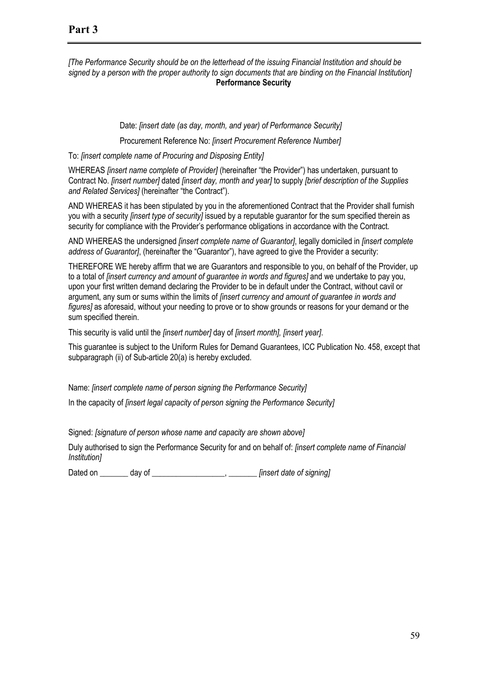# **Part 3**

*[The Performance Security should be on the letterhead of the issuing Financial Institution and should be*  signed by a person with the proper authority to sign documents that are binding on the Financial Institution] **Performance Security**

Date: *[insert date (as day, month, and year) of Performance Security]*

Procurement Reference No: *[insert Procurement Reference Number]*

To: *[insert complete name of Procuring and Disposing Entity]* 

WHEREAS *[insert name complete of Provider]* (hereinafter "the Provider") has undertaken, pursuant to Contract No. *[insert number]* dated *[insert day, month and year]* to supply *[brief description of the Supplies and Related Services]* (hereinafter "the Contract").

AND WHEREAS it has been stipulated by you in the aforementioned Contract that the Provider shall furnish you with a security *[insert type of security]* issued by a reputable guarantor for the sum specified therein as security for compliance with the Provider's performance obligations in accordance with the Contract.

AND WHEREAS the undersigned *[insert complete name of Guarantor]*, legally domiciled in *[insert complete address of Guarantor]*, (hereinafter the "Guarantor"), have agreed to give the Provider a security:

THEREFORE WE hereby affirm that we are Guarantors and responsible to you, on behalf of the Provider, up to a total of *[insert currency and amount of guarantee in words and figures]* and we undertake to pay you, upon your first written demand declaring the Provider to be in default under the Contract, without cavil or argument, any sum or sums within the limits of *[insert currency and amount of guarantee in words and figures]* as aforesaid, without your needing to prove or to show grounds or reasons for your demand or the sum specified therein.

This security is valid until the *[insert number]* day of *[insert month], [insert year]*.

This guarantee is subject to the Uniform Rules for Demand Guarantees, ICC Publication No. 458, except that subparagraph (ii) of Sub-article 20(a) is hereby excluded.

Name: *[insert complete name of person signing the Performance Security]*

In the capacity of *[insert legal capacity of person signing the Performance Security]* 

Signed: *[signature of person whose name and capacity are shown above]*

Duly authorised to sign the Performance Security for and on behalf of: *[insert complete name of Financial Institution]*

Dated on day of **Example 20** and the *contract of signing*